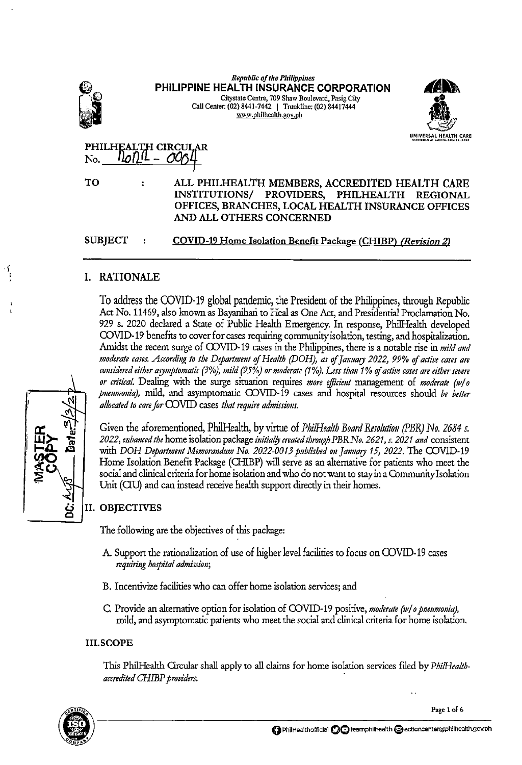|                |   | <b>Republic of the Philippines</b><br>PHILIPPINE HEALTH INSURANCE CORPORATION<br>Citystate Centre, 709 Shaw Boulevard, Pasig City<br>Call Center: (02) 8441-7442   Trunkline: (02) 84417444<br>www.philhealth.gov.ph |                       |
|----------------|---|----------------------------------------------------------------------------------------------------------------------------------------------------------------------------------------------------------------------|-----------------------|
|                |   |                                                                                                                                                                                                                      | UNIVERSAL HEALTH CARE |
|                |   | PHILHEALTH CIRCULAR                                                                                                                                                                                                  |                       |
| No.            |   |                                                                                                                                                                                                                      |                       |
| то             | ÷ | ALL PHILHEALTH MEMBERS, ACCREDITED HEALTH CARE<br>INSTITUTIONS/ PROVIDERS, PHILHEALTH<br>OFFICES, BRANCHES, LOCAL HEALTH INSURANCE OFFICES<br>AND ALL OTHERS CONCERNED                                               | <b>REGIONAL</b>       |
| <b>SUBJECT</b> |   | <b>COVID-19 Home Isolation Benefit Package (CHIBP) (Revision 2)</b>                                                                                                                                                  |                       |

## I. RATIONALE

To address the COVID-19 global pandemic, the President of the Philippines, through Republic Act No. 11469, also known as Bayanihan to Heal as One Act, and Presidential Proclamation No. 929 s. 2020 declared a State of Public Health Emergency. In response, PhilHealth developed COVID-19 benefits to cover for cases requiring community isolation, testing, and hospitalization. Amidst the recent surge of COVID-19 cases in the Philippines, there is a notable rise in *mild and* moderate cases. According to the Department of Health (DOH), as of January 2022, 99% of active cases are *considered either arymptomatic (3%), mild (95%) or moderate (1%). Less than 1% uf active cases are either severe or critical.* Dealing with the surge situation requires *more efficient* management of *moderate (w/ o pneumonia),* mild, and asymptomatic COVID-19 cases and hospital resources should be better *allocated to care for* ())VlD cases *that require admissions.* 

Given the aforementioned, PhilHealth, by virtue of *PhilHealth Board Resolution (PBR) No. 2684 s. 2022, nthanced the* home isolation package *initiai!J created through PBRNo. 2621, s. 2021 and* consistent with *DOH Department Memorandum No. 2022-0013 published on January 15, 2022*. The COVID-19 Home Isolation Benefit Package (CHIBP) will serve as an alternative for patients who meet the social and clinical criteria for home isolation and who do not want to stayin a Community Isolation Unit (CIU) and can instead receive health support directly in their homes.

## II. OBJECTIVES

The following are the objectives of this package:

- A. Support the rationalization of use of higher level facilities to focus on COVID-19 cases *requiring hospital admission;*
- B. Incentivize facilities who can offer home isolation services; and
- C. Provide an alternative option for isolation of COVID-19 positive, *moderate (w/ o pneumonia)*, mild, and asymptomatic patients who meet the social and clinical criteria for home isolation.

## III. SCOPE

This Phi!Health Orcular shall apply to all claims for home isolation services filed by *Phi/Healthaccredited CHffiP providers.* ·





 $\mathbf{r}$ ; '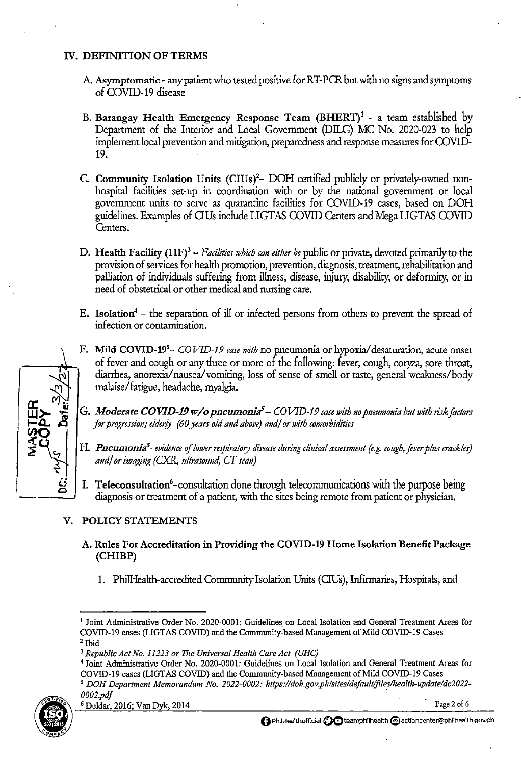## IV. DEFINITION OF TERMS

- A Asymptomatic- any patient who tested positive for RT-PCR but with no signs and symptoms of COVID-19 disease
- B. Barangay Health Emergency Response Team  $(BHERT)^1$  a team established by Department of the Interior and Local Govermnent (DILG) MC No. 2020-023 to help implement local prevention and mitigation, preparedness and response measures for COVID-19.
- C Community Isolation Units (CIUs)'- DOH certified publicly or privately-owned nonhospital facilities set-up in coordination with or by the national government or local government units to serve as quarantine facilities for COVID-19 cases, based on DOH guidelines. Examples of CIUs include LIGTAS COVID Centers and Mega LIGTAS COVID Centers.
- D. Health Facility (HF)<sup>3</sup> *Facilities which can either be* public or private, devoted primarily to the provision of services for health promotion, prevention, diagnosis, treatment, rehabilitation and palliation of individuals suffering from illness, disease, injury, disability, or deformity, or in need of obstetrical or other medical and nursing care.
- E. Isolation<sup>4</sup> the separation of ill or infected persons from others to prevent the spread of infection or contamination.
- F. Mild COVID-195 *COVID-19 case with* no pneumonia or hypoxia/desaturation, acute onset of fever and cough or any three or more of the following: fever, cough, coryza, sore throat, diarrhea, anorexia/nausea/vomiting, loss of sense of smell or taste, general weakness/body malaise/ fatigue, headache, myalgia.
- G. Moderate COVID-19 w/o pneumonia<sup>5</sup> COVID-19 case with no pneumonia but with risk factors *for progression; elder/y (60 years old and above) and/ or with comorbidities*
- H. Pneumonia<sup>5</sup>- evidence of lower respiratory disease during clinical assessment (e.g. cough, fever plus crackles) *m1d/ or imaging (CXR, ultrasound, CT scan)*
- $-\frac{g}{g}$ I. Teleconsultation<sup>6</sup>-consultation done through telecommunications with the purpose being diagnosis or treatment of a patient, with the sites being remote from patient or physician.

## V. POLICY STATEMENTS

- A. Rules For Accreditation in Providing the COVID-19 Home Isolation Benefit Package (CHIBP)
	- 1. Phi!Health-accredited Community Isolation Units (OUs), Infirmaries, Hospitals, and

<sup>4</sup> Joint Administrative Order No. 2020-0001: Guidelines on Local Isolation and General Treatment Areas for COVID-19 cases (LIGTAS COVID) and the Community-based Management of Mild COVID-19 Cases *5 DOH Department Memorandum No. 2022-0002: https://doh.gov.ph/sites/defau/t/files/health-update/dc2022- 0002.pdf* .



<sup>1</sup> Joint Administrative Order No. 2020-0001: Guidelines on Local Isolation and General Treatment Areas for COVID-19 cases (LIGTAS COVID) and the Community-based Management of Mild COVID-19 Cases 2 Ibid

<sup>3</sup>*Republic Act No. 11223 or* The *Universal Health Care Act (UHC)*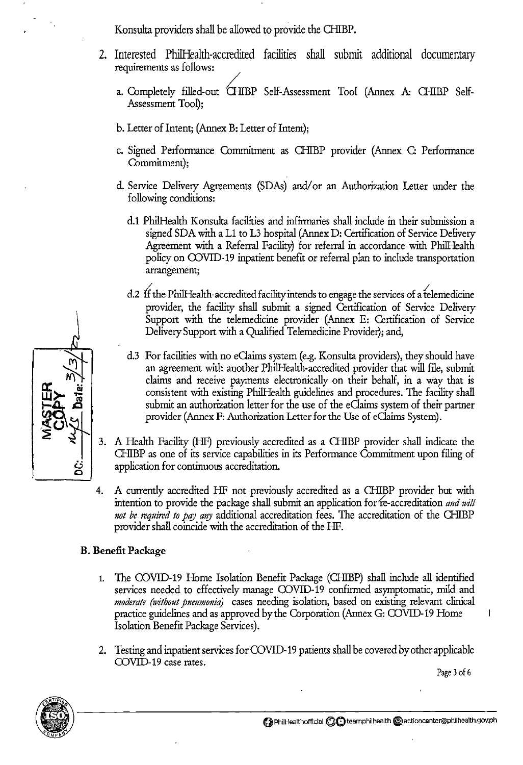Konsulta providers shall be allowed to provide the CHIBP.

- 2. Interested PhilHealth-accredited facilities shall submit additional documentary requirements as follows:
	- a. Completely filled-out *CHIBP Self-Assessment Tool (Annex A: CHIBP Self-*Assessment Tool);
	- b. Letter of Intent; (Annex B: Letter of Intent);
	- c. Signed Performance Commitment as CHIBP provider (Annex C: Performance Commitment);
	- d. Service Delivery Agreements (SDAs) and/or an Authorization Letter under the following conditions:
		- d.l Phi!Health Konsulta facilities and infirmaries shall include in their submission a signed SDA with a L1 to L3 hospital (Annex D: Certification of Service Delivery Agreement with a Referral Facility) for referral in accordance with PhilHealth policy on COVID-19 inpatient benefit or referral plan to include transportation arrangement;
		- d.2 If the PhilHealth-accredited facility intends to engage the services of a telemedicine provider, the facility shall submit a signed Certification of Service Delivery Support with the telemedicine provider (Annex E: Certification of Service Delivery Support with a Qualified Telemedicine Provider); and,
		- d.3 For facilities with no eClaims system (e.g. Konsulta providers), they should have an agreement with another Phi!Health-accredited provider that will file, submit claims and receive payments electronically on their behalf, in a way that is consistent with existing Phi!Health guidelines and procedures. The facility shall submit an authorization letter for the use of the eClaims system of their partner provider (Annex F: Authorization Letter for the Use of eClaims System).
- 3. A Health Facility (HF) previously accredited as a CHIBP provider shall indicate the GiiBP as one of its service capabilities in its Perfonnance Commitment upon filing of application for continuous accreditation.
- 4. A currently accredited HF not previously accredited as a CHIBP provider but with intention to provide the package shall submit an application for re-accreditation *and will* not be required to pay any additional accreditation fees. The accreditation of the CHIBP provider shall coincide with the accreditation of the HF.

## B. Benefit Package

- 1. The COVID-19 Home Isolation Benefit Package (CHIBP) shall include all identified services needed to effectively manage COVID-19 confirmed asymptomatic, mild and *moderate (without pneumonia)* cases needing isolation, based on existing relevant clinical practice guidelines and as approved by the Corporation (Annex G: COVID-19 Home Isolation Benefit Package Services).
- 2. Testing and inpatient services for COVID-19 patients shall be covered by other applicable COVID-19 case rates.

Page 3 of 6



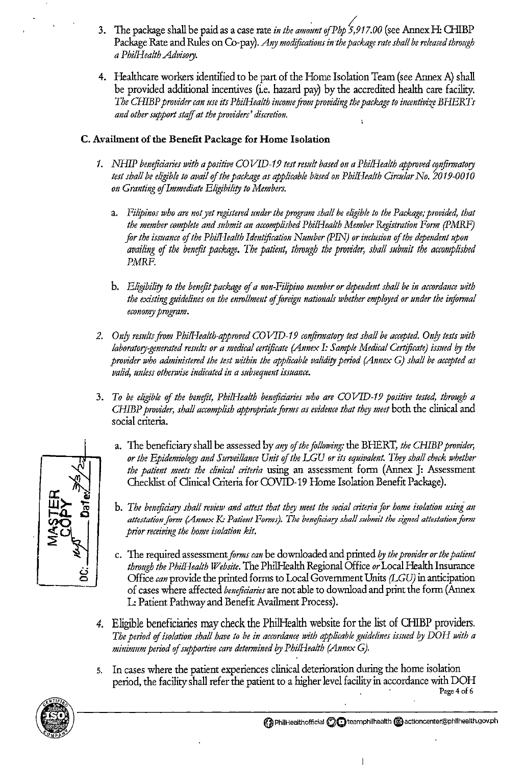- 3. The package shall be paid as a case rate *in the amount of Php* 5,917.00 (see Annex H: CHIBP Package Rate and Rules on Co-pay). *Any modifications in the package rate shall be released through a Phi/Health Advisory.*
- 4. Healthcare workers identified to be part of the Home Isolation Team (see Annex A) shall be provided additional incentives (i.e. hazard pay) by the accredited health care facility. *The CHIBP provider can use its Phi/Health income from providing the package to incentivize BHERTs and other support staff at the providers' discretion.*

## C. Availment of the Benefit Package for Home Isolation

- *1. NHIP beneficiaries with a positive* CO *VID-19 test result based on a Phi/Health approved cotifirmatory*  test shall be eligible to avail of the package as applicable based on PhilHealth Circular No. 2019-0010 *on Granting of Immediate Eligibility to Members.* 
	- a. *Filipinos who are not yet registered under the program shall be eligible to the Package; provided, that the member complete and submit an accomplished Phi/Health Member Registration Form (PMRF) for the issuance of the Phi/Health Identification Number (PIN) or inclusion of the dependent upon*  availing of the benefit package. The patient, through the provider, shall submit the accomplished PMRF.
	- b. *Eligibility to the bmefit package of a non-Filipino member or dependent shall be in accordance with*  the existing guidelines on the enrollment of foreign nationals whether employed or under the informal *economy program.*
- *2. Onfy results from Phi/Health-approved COVID-19 confirmatory test shall be accepted. Onfy tests with laboratory-generated results or a medical certificate (Annex I: Sample Medical Certificate) issued by the provider who administered the test within the applicable validity period (Annex G) shall be accepted as valid, unless otherwise indicated in a subsequent issuance.*
- 3. *To be eligible of the benefit, Phi/Health beneficiaries who are COVID-19 positive tested, through a CHmP provider, shall accomplish appropriate forms as evidmce that they meet* both the clinical and social criteria.
	- a. The beneficiary shall be assessed by *any of the following:* the BHERT, *the CHmP provider, or the Epidemiology and Suroeillance Unit of the LGU or its equivalent. They shall check whether the patient meets the clinical criteria* using an assessment form (Annex J: Assessment Checklist of Clinical Criteria for COVID-19 Home Isolation Benefit Package).
	- b. The beneficiary shall review and attest that they meet the social criteria for home isolation using an attestation form (Annex K: Patient Forms). The beneficiary shall submit the signed attestation form *prior receiving the home isolation kit.*
	- c. The required assessment *forms can* be downloaded and printed *by the provider or the patient through the Phi/Health Website.* The Phi!Health Regional Office *or* Local Health Insurance Office *can* provide the printed forms to Local Government Units *(LGU)* in anticipation of cases where affected *beneftciaries* are not able to download and print the form (Annex L: Patient Pathway and Benefit Availment Process).
- *4.* Eligible beneficiaries may check the Phi!Health website for the list of Q-IIBP providers. The period of isolation shall have to be in accordance with applicable guidelines issued by DOH with a *minimum period of supportive care determined l?J Phi/Health (Annex G).*
- s. In cases where the patient experiences clinical deterioration during the home isolation period, the facility shall refer the patient to a higher level facility in accordance with DOH <sup>Page 4</sup> of 6





 $\overline{\phantom{a}}$ 

() **PhiiHealthofficial C)Oteamphilhealth (i)actioncenter@phllhealth.gov.ph**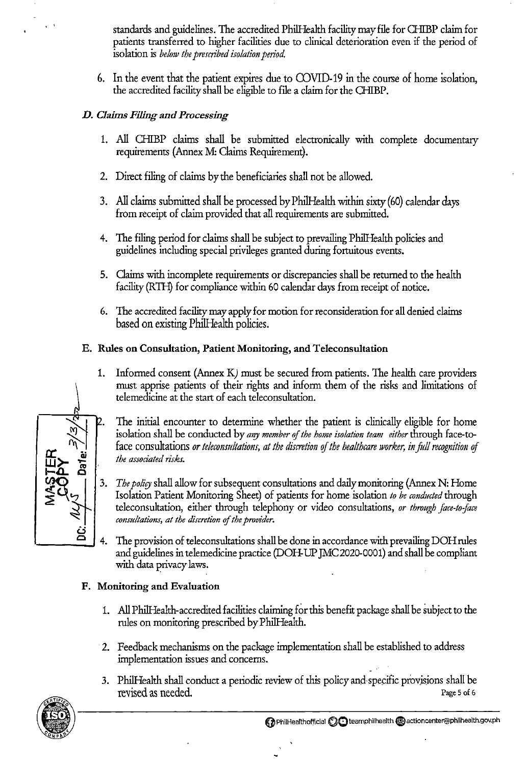standards and guidelines. The accredited PhilHealth facility may file for CHIBP claim for patients transferred to higher facilities due to clinical deterioration even if the period of isolation is *below the prescribed isolation period.* 

6. In the event that the patient expires due to COVID-19 in the course of home isolation, the accredited facility shall be eligible to file a claim for the CHIBP.

## *D. Claims Filing and Processing*

- 1. All CHIBP claims shall be submitted electronically with complete documentary requirements (Annex M: Claims Requirement).
- 2. Direct filing of claims by the beneficiaries shall not be allowed.
- 3. All claims submitted shall be processed by PhilHealth within sixty (60) calendar days from receipt of claim provided that all requirements are submitted.
- 4. The filing period for claims shall be subject to prevailing Phi!Health policies and guidelines including special privileges granted during fortuitous events.
- 5. daims with incomplete requirements or discrepancies shall be returned to the health facility (RTH) for compliance within 60 calendar days from receipt of notice.
- 6. The accredited facility may apply for motion for reconsideration for all denied claims based on existing Phi!Health policies.

## E. Rules on Consultation, Patient Monitoring, and Teleconsultation

- 1. Informed consent (Annex K) must be secured from patients. The health care providers must apprise patients of their rights and inform them of the risks and limitations of telemedicine at the start of each teleconsultation.
- **cc** ~ **iii w>-** .,\_ **1-4.** <sup>~</sup> The initial encounter to determine whether the patient is clinically eligible for home isolation shall be conducted by *any member of the home isolation team either* through face-toface consultations *or teleconsultations, at the discretion of the healthcare worker, in full recognition of the associated risks.*
- $\frac{1}{2}$ 3. *The policy* shall allow for subsequent consultations and daily monitoring (Annex N: Home Isolation Patient Monitoring Sheet) of patients for home isolation *to be conducted* through teleconsultation, either through telephony or video consultations, or through face-to-face *consultations, at the discretion* of *the provider.* 
	- 4. The provision of teleconsultations shall be done in accordance with prevailing DOH rules and guidelines in telemedicine practice (DOH-UP JMC 2020-0001) and shall be compliant with data privacy laws.

## F. Monitoring and Evaluation

- 1. All Phi!Health-accredited facilities claiming for this benefit package shall be subject to the rules on monitoring prescribed by Phi!Health.
- 2. Feedback mechanisms on the package implementation shall be established to address implementation issues and concerns.
- 3. PhilHealth shall conduct a periodic review of this policy and specific provisions shall be revised as needed. Page 5 of 6



 $\frac{1}{2}$ 

 $\mathbf{r}$ 

ٺي **0**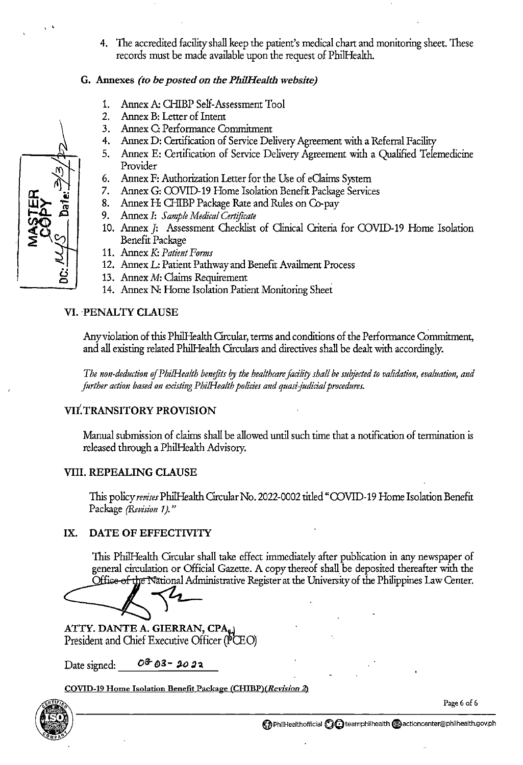4. The accredited facility shall keep the patient's medical chart and monitoring sheet. These records must be made available upon the request of Phi!Health.

#### G. Annexes *(to be posted on the PhilHealth website)*

- Annex A: CHIBP Self-Assessment Tool  $1.$
- $2.$ Annex B: Letter of Intent
- $3<sub>1</sub>$ Annex C: Performance Commitment
- Annex D: Certification of Service Delivety Agreement with a Referral Facility
- Annex E: Certification of Service Delivety Agreement with a Qualified Telemedicine  $5.$ Provider
- Annex F: Authorization Letter for the Use of eClaims System 6.
- Annex G: COVID-19 Home Isolation Benefit Package Services
- 8. Annex H: CHIBP Package Rate and Rules on Co-pay
- 9. Annex I: *Sample Medical Certificate*
- 10. Annex J: Assessment Checklist of Clinical Criteria for COVID-19 Home Isolation Benefit Package
- Annex K: *Patient Forms*
- 12. Annex L: Patient Pathway and Benefit Availment Process
- 13. Annex M: Claims Requirement
- 14. Annex N: Home Isolation Patient Monitoring Sheet

## VI. PENALTY CLAUSE

Any violation of this PhilHealth Circular, terms and conditions of the Performance Commitment, and all existing related Phi!Health Circulars and directives shall be dealt with accordingly.

*The non-deduction* of *Phi/Health benefits by the healthcare facility shall be suijected to validation, evaluation, and further action based on existing PhilHealth policies and quasi-judicial procedures.* 

## VII. TRANSITORY PROVISION

Manual submission of claims shall be allowed until such time that a notification of termination is released through a Phill-Jealth Advisory.

#### VIII. REPEALING CLAUSE

This policy *revises* Phi!Health Circular No. 2022-0002 titled "COVID-19 Home Isolation Benefit Package *(Revision 1).*"

#### IX. DATE OF EFFECTIVITY

This Phi!Health Circular shall take effect immediately after publication in any newspaper of general circulation or Official Gazette. A copy thereof shall. be deposited thereafter with the Office of the National Administrative Register at the University of the Philippines Law Center.

ATTY. DANTE A. GIERRAN, CPA<sub>e</sub> President and Chief Executive Officer (FCEO)

Date signed:  $0^3 6^3 - 20^3$ 

COVID-19 Home Isolation Benefit Package *(CHIBP)(Revision 2)* 





> •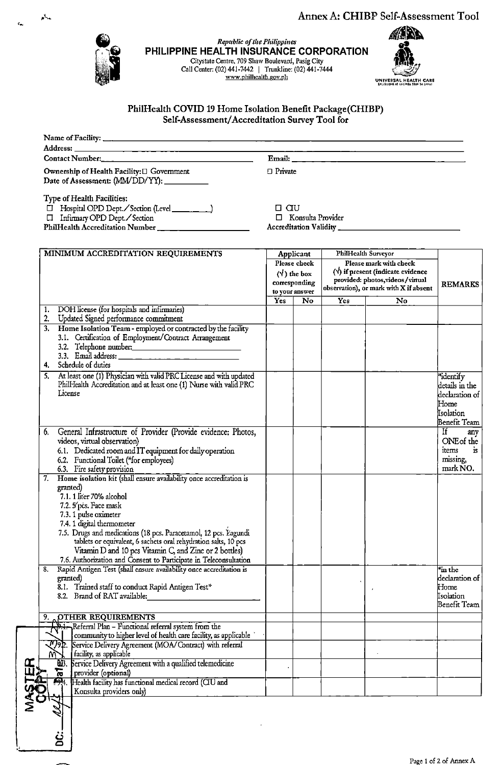Annex A: CHIBP Self-Assessment Tool



 $\epsilon_{\rm esc}$ 

 $\mathcal{L}_{\mathbf{q}}$ 

# Annex A: CHIBP Self-Assessn<br> **Republic of the Philippines**<br> **Republic of the Philippines**<br> **Republic of the Philippines**<br> **REPURANCE CORPORATION**<br>
Centre, 709 Shaw Boulevard, Pasig City<br>
(02) 441-7442 | Trunkline: (02) 441 **PHILIPPINE HEALTH INSURANCE CORPORATION Citystate Centre, 709 Shaw Boulevard, Pasig City**  Call Center: (02) 441-7442 I Trunkline: (02) 441-7444



#### PhiiHealth COVID 19 Home Isolation Benefit Package(CHIBP) Self-Assessment/ Accreditation Survey Tool for

| Ownership of Health Facility: [] Government<br>Date of Assessment: (MM/DD/YY): __________                                                                                                                                                                                                                                                                                                                                                                          | $\Box$ Private                                                                      |                     |                                                                                                                                                   |                                                                                                        |
|--------------------------------------------------------------------------------------------------------------------------------------------------------------------------------------------------------------------------------------------------------------------------------------------------------------------------------------------------------------------------------------------------------------------------------------------------------------------|-------------------------------------------------------------------------------------|---------------------|---------------------------------------------------------------------------------------------------------------------------------------------------|--------------------------------------------------------------------------------------------------------|
| Type of Health Facilities:<br>□ Infirmary OPD Dept. Section<br>PhilHealth Accreditation Number                                                                                                                                                                                                                                                                                                                                                                     | $\Box$ $\Box$<br>□ Konsulta Provider                                                |                     |                                                                                                                                                   |                                                                                                        |
| MINIMUM ACCREDITATION REQUIREMENTS                                                                                                                                                                                                                                                                                                                                                                                                                                 | Applicant<br>Please check<br>$(\sqrt{)}$ the box<br>corresponding<br>to your answer | PhilHealth Surveyor | Please mark with check<br>$(\forall)$ if present (indicate evidence<br>provided: photos, videos/virtual<br>observation), or mark with X if absent | <b>REMARKS</b>                                                                                         |
|                                                                                                                                                                                                                                                                                                                                                                                                                                                                    | Yes<br>No                                                                           | <b>Yes</b>          | No                                                                                                                                                |                                                                                                        |
| DOH license (for hospitals and infirmaries)<br>1.                                                                                                                                                                                                                                                                                                                                                                                                                  |                                                                                     |                     |                                                                                                                                                   |                                                                                                        |
| 2. Updated Signed performance commitment<br>3. Home Isolation Team - employed or contracted by the facility<br>3.1. Certification of Employment/Contract Arrangement<br>3.2. Telephone number.<br>4. Schedule of duties                                                                                                                                                                                                                                            |                                                                                     |                     |                                                                                                                                                   |                                                                                                        |
| 5. At least one (1) Physician with valid PRC License and with updated<br>PhilHealth Accreditation and at least one (1) Nurse with valid PRC<br>License                                                                                                                                                                                                                                                                                                             |                                                                                     |                     |                                                                                                                                                   | identify <sup>*</sup><br>details in the<br>declaration of<br>${\rm Home}$<br>Isolation<br>Benefit Team |
| 6. General Infrastructure of Provider (Provide evidence: Photos,<br>videos, virtual observation)<br>6.1. Dedicated room and IT equipment for daily operation<br>6.2. Functional Toilet (*for employees)<br>6.3. Fire safety provision                                                                                                                                                                                                                              |                                                                                     |                     |                                                                                                                                                   | $If \t $<br>any<br>ONE of the<br>items<br>$\mathbf{i}$ s<br>missing,<br>mark No.                       |
| 7. Home isolation kit (shall ensure availability once accreditation is<br>granted)<br>7.1. 1 liter 70% alcohol<br>7.2. Spcs. Face mask<br>7.3.1 pulse oximeter<br>7.4. 1 digital thermometer<br>7.5. Drugs and medications (18 pcs. Paracetamol, 12 pcs. Yagundi<br>tablets or equivalent, 6 sachets oral rehydration salts, 10 pcs<br>Vitamin D and 10 pcs Vitamin C, and Zinc or 2 bottles)<br>7.6. Authorization and Consent to Participate in Teleconsultation |                                                                                     |                     |                                                                                                                                                   |                                                                                                        |
| Rapid Antigen Test (shall ensure availability once accreditation is<br>8.<br>granted)<br>8.1. Trained staff to conduct Rapid Antigen Test*<br>8.2 Brand of RAT available:                                                                                                                                                                                                                                                                                          |                                                                                     |                     |                                                                                                                                                   | *in the<br>declaration of<br>Home<br>Isolation<br>Benefit Team                                         |
| <b>OTHER REQUIREMENTS</b><br>9.                                                                                                                                                                                                                                                                                                                                                                                                                                    |                                                                                     |                     |                                                                                                                                                   |                                                                                                        |
| Referral Plan - Functional referral system from the<br>community to higher level of health care facility, as applicable                                                                                                                                                                                                                                                                                                                                            |                                                                                     |                     |                                                                                                                                                   |                                                                                                        |
| Service Delivery Agreement (MOA/Contract) with referral<br>facility, as applicable<br>W                                                                                                                                                                                                                                                                                                                                                                            |                                                                                     |                     |                                                                                                                                                   |                                                                                                        |
| <b>Service Delivery Agreement with a qualified telemedicine</b><br>$rac{1}{2}$<br>provider (optional)                                                                                                                                                                                                                                                                                                                                                              |                                                                                     |                     |                                                                                                                                                   |                                                                                                        |
| $\overline{P_4}$<br>Health facility has functional medical record (CIU and<br>Konsulta providers only)                                                                                                                                                                                                                                                                                                                                                             |                                                                                     |                     |                                                                                                                                                   |                                                                                                        |

ا .<br>20

 $\begin{matrix} \vdots \\ \vdots \end{matrix}$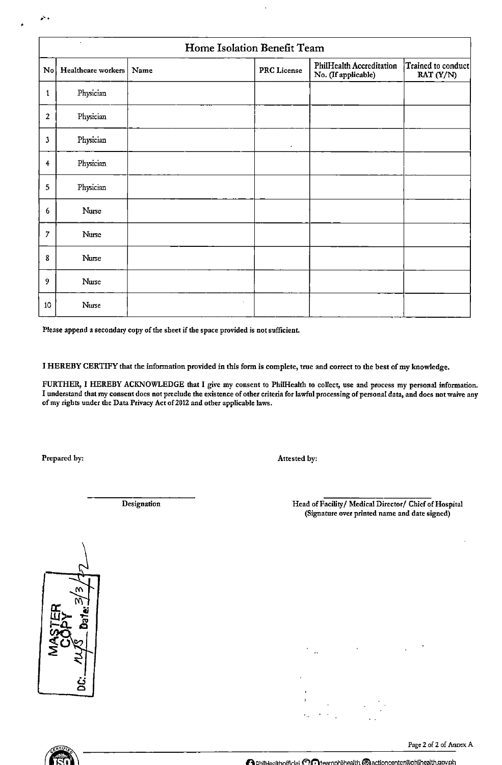|                | ä,<br>Home Isolation Benefit Team |  |         |                    |                                                        |                                 |  |
|----------------|-----------------------------------|--|---------|--------------------|--------------------------------------------------------|---------------------------------|--|
|                | No Healthcare workers   Name      |  |         | <b>PRC</b> License | <b>PhilHealth Accreditation</b><br>No. (If applicable) | Trained to conduct<br>RAT (Y/N) |  |
| $\mathbf{1}$   | Physician                         |  |         |                    |                                                        |                                 |  |
| $\overline{2}$ | Physician                         |  |         |                    |                                                        |                                 |  |
| 3              | Physician                         |  |         | $\bullet$          |                                                        |                                 |  |
| $\overline{4}$ | Physician                         |  |         |                    |                                                        |                                 |  |
| 5              | Physician                         |  |         |                    |                                                        |                                 |  |
| 6              | Nurse                             |  |         |                    |                                                        |                                 |  |
| $\overline{7}$ | Nurse                             |  |         |                    |                                                        |                                 |  |
| 8              | Nurse                             |  |         |                    |                                                        |                                 |  |
| 9              | Nurse                             |  |         |                    |                                                        |                                 |  |
| 10             | Nurse                             |  | $\cdot$ |                    |                                                        |                                 |  |

**Please append a secondary copy of the sheet if the space provided is not sufficient.** 

I HEREBY CERTIFY that the information provided in this form is complete, true and correct to the best of my knowledge.

FURTHER, I HEREBY ACKNOWLEDGE that I give my consent to PhiiHealth to collect, use and process my personal information. **I understand that my consent does not preclude the existence of other criteria for lawful processing of personal data, and does not waive any of my rights under the Data Privacy Act of 2012 and other applicable laws.** 

Prepared by:

•'.

Attested hy:

**Designation** 

Head of Facility/ Medical Director/ Chief of Hospital **(Signature over printed name and date signed)** 



Page 2 of 2 of Annex A



**A** philHealthofficial **(")** Theamphilhealth  $\epsilon$  actioncenter@phlihealth.gov.ph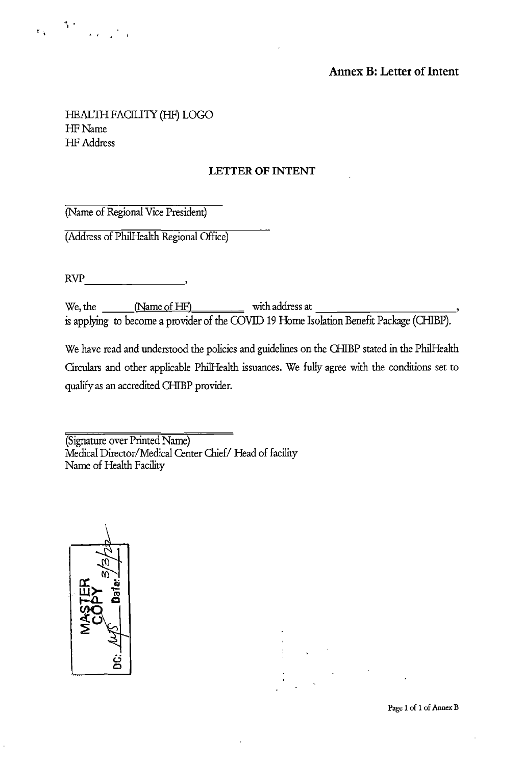

## **Annex B: Letter of Intent**

## HEALTHFAOLITY (HF) LOGO HF Name HF Address

## **LETTER OF INTENT**

(Name of Regional Vice President)

(Address of Phi!Health Regional Office)

RVP  $\blacksquare$ 

We, the  $\underline{\hspace{1cm}}$  (Name of HF) with address at  $\underline{\hspace{1cm}}$ is applying to become a provider of the COVID 19 Home Isolation Benefit Package (CHIBP).

We have read and understood the policies and guidelines on the CHIBP stated in the PhilHealth Circulars and other applicable Phi!Health issuances. We fully agree with the conditions set to qualify as an accredited CHIBP provider.

(Signature over Printed Name) Medical Director/Medical Center Chief/ Head of facility Name of Health Facility





Page 1 of 1 of Annex B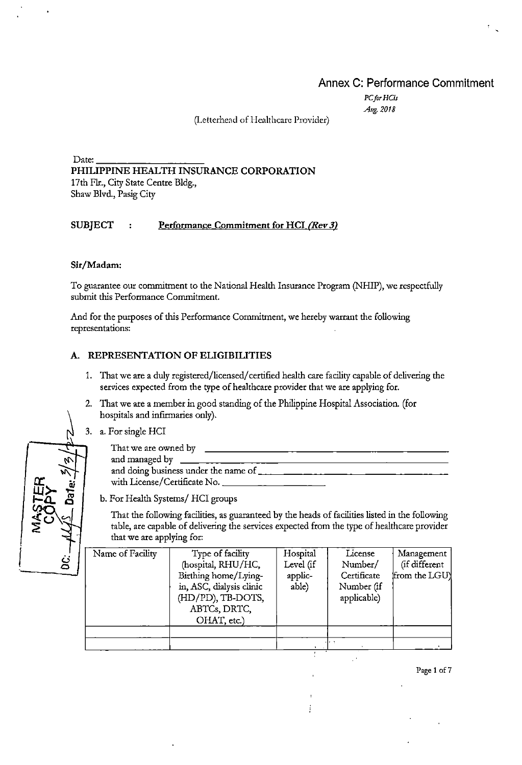## **Annex C: Performance Commitment**

*PCforHCis Ar&. 2018* 

(Lettcrhend of Henlthcare Provider)

Date:---------- **PHILIPPINE HEALTH INSURANCE CORPORATION**  17th Fir., City State Centre Bldg., Shaw Blvd., Fasig City

#### **SUBJECT** : Performance Commitment for HCI *(Rev 3)*

#### **Sir/Madam:**

To guarantee our commitment to the National Health Insurance Program (NHIP), we respectfully submit this Performance Commitment.

And for the purposes of this Performance Commitment, we hereby warrant the following representations:

#### **A. REPRESENTATION OF ELIGIBILITIES**

- 1. That we are a duly registered/licensed/ certified health care facility capable of delivering the services expected from the type of healthcare provider that we are applying for.
- 2. That we are a member in good standing of the Philippine Hospital Association. (for hospitals and infirmaries only).
- 3. a. For single HCI

|                            | That we are owned by                 |
|----------------------------|--------------------------------------|
| $\boldsymbol{\mathcal{N}}$ | and managed by                       |
|                            | and doing business under the name of |
| ٠.                         | with License/Certificate No.         |

**b. For Health Systems/ HCI groups** 

That the following facilities, as guaranteed by the heads of facilities listed in the following table, are capable of delivering the services expected from the type of healthcare provider that we are applying for:

| نخ | Name of Facility | Type of facility<br>(hospital, RHU/HC,<br>Birthing home/Lying-<br>in, ASC, dialysis clinic<br>(HD/PD), TB-DOTS,<br>ABTCs, DRTC, | Hospital<br>Level (if<br>applic-<br>able) | License<br>Number/<br>Certificate<br>Number (if<br>applicable) | Management<br>(if different<br>from the LGU |
|----|------------------|---------------------------------------------------------------------------------------------------------------------------------|-------------------------------------------|----------------------------------------------------------------|---------------------------------------------|
|    |                  | OHAT, etc.)                                                                                                                     |                                           |                                                                |                                             |

Ť

|<br>|<br>|  $\mathbf{r}$ 

Page 1 o£7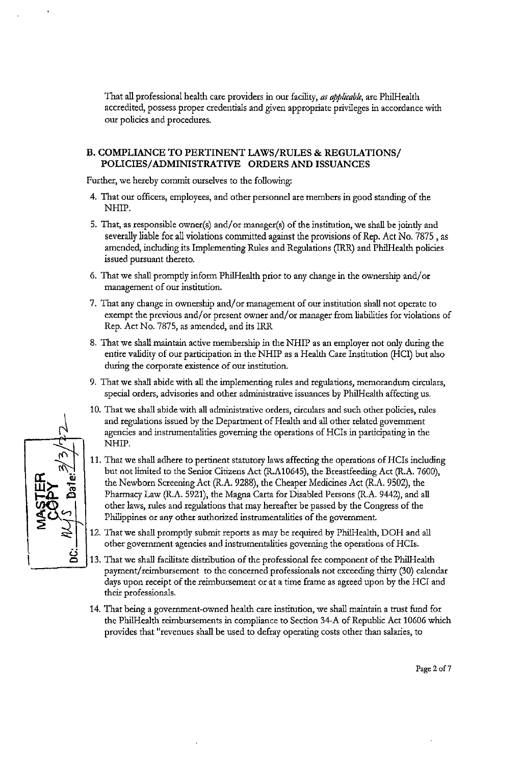That all professional health care providers in our facility, *as applicable,* are Phi!Health accredited, possess proper credentials and given appropriate privileges in accordance with our policies and procedures.

#### **B. COMPLIANCE TO PERTINENT LAWS/RULES & REGULATIONS/ POLICIES/ ADMINISTRATIVE ORDERS AND ISSUANCES**

Further, we hereby commit ourselves to the following:

- 4. That our officers, employees, and other personnel are members in good standing of the NHIP.
- 5. That, as responsible owner(s) and/or manager(s) of the institution, we shall be jointly and severally liable for all violations committed against the provisions of Rep. Act No. 7875, as amended, including its Implementing Rules and Regulations (IRR) and Phi!Health policies issued pursuant thereto.
- 6. That we shall promptly inform Phi!Health prior to any change in the ownership and/ or management of our institution.
- 7. That any change in ownership and/ or management of our institution shall not operate to exempt the previous and/ or present owner and/ or manager from liabilities for violations of Rep. Act No. 7875, as amended, and its IRR
- 8. That we shall maintain active membership in the NHIP as an employer not only during the entire validity of our participation in the NHIP as a Health Care Institution (HCI) but also during the corporate existence of our institution.
- 9. That we shall abide with all the implementing rules and regulations, memorandum circulars, special orders, advisories and other administrative issuances by Phi!Health affecting us.
- 10. That we shall abide \vith all administrative orders, circulars and such other policies, rules and regulations issued by the Department of Health and all other related government agencies and instrumentalities governing the operations of HCis in participating in the NHIP.
- **11.** That we shall adhere to pertinent statutory laws affecting the operations of HCis including but not limited to the Senior Citizens Act (R.A10645), the Breastfeeding Act (R.A. 7 600), the Newborn Screening Act (R.A. 9288), the Cheaper Medicines Act (R.A. 9502), the Pharmacy Law (R.A. 5921), the Magna Carta for Disabled Persons (R.A. 9442), and all other laws, rules and regulations that may hereafter be passed by the Congress of the Philippines or any other authorized instrumentalities of the government
- 12. That we shall promptly submit reports as may be required by Phi!Health, DOH and all other government agencies and instrumentalities governing the operations of HCis.
- 13. That we shall facilitate distribution of the professional fee component of the Phi!Health payment/reimbursement to the concerned professionals not exceeding thirty (30) calendar days upon receipt of the reimbursement or at a time frame as agreed upon by the HCI and their professionals.
- 14. That being a government-owned health care institution, we shall maintain a trust fund for the Phi!Health reimbursements in compliance to Section 34-A of Republic Act 10606 which provides that "revenues shall be used to defray operating costs other than salaries, to



Page 2 of 7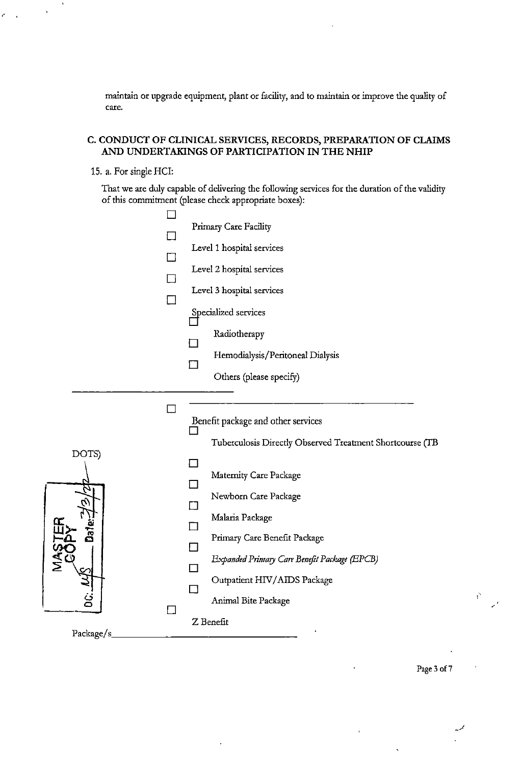maintain or upgrade equipment, plant or facility, and to maintain or improve the quality of **care.** 

#### **C. CONDUCT OF CLINICAL SERVICES, RECORDS, PREPARATION OF CLAIMS AND UNDERTAKINGS OF PARTICIPATION IN THE NHIP**

#### 15. a. For single HCI:

,.

That we are duly capable of delivering the following services for the duration of the validity of this commitment (please check appropriate boxes):

| $\overline{\phantom{0}}$<br>Benefit package and other services<br>Tuberculosis Directly Observed Treatment Shortcourse (TB<br>DOTS)<br>Maternity Care Package<br>Newborn Care Package<br>Malaria Package<br>តិ<br>Primary Care Benefit Package<br>Expanded Primary Care Benefit Package (EPCB)<br>Outpatient HIV/AIDS Package<br>H<br>Animal Bite Package<br>Z Benefit | l I | Primary Care Facility<br>Level 1 hospital services<br>Level 2 hospital services<br>Level 3 hospital services<br>Specialized services<br>Radiotherapy<br>Hemodialysis/Peritoneal Dialysis<br>$\mathsf{L}$<br>Others (please specify) |
|------------------------------------------------------------------------------------------------------------------------------------------------------------------------------------------------------------------------------------------------------------------------------------------------------------------------------------------------------------------------|-----|-------------------------------------------------------------------------------------------------------------------------------------------------------------------------------------------------------------------------------------|
|                                                                                                                                                                                                                                                                                                                                                                        |     |                                                                                                                                                                                                                                     |

Page 3 of 7

 $\bar{1}$ 

.. ' '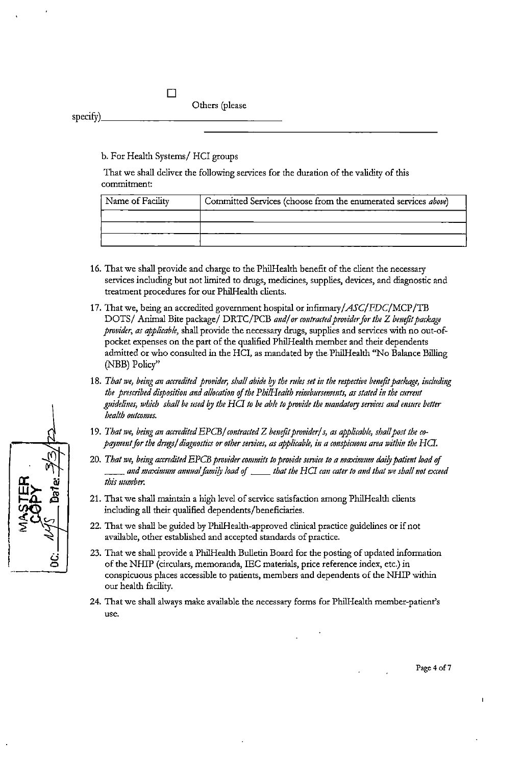# Others (please specify) \_\_\_\_\_\_\_\_\_\_\_\_\_ \_

#### b. For Health Systems/ HCI groups

 $\Box$ 

That we shall deliver the following services for the duration of the validity of this commitment:

| Name of Facility | Committed Services (choose from the enumerated services above) |  |  |
|------------------|----------------------------------------------------------------|--|--|
|                  |                                                                |  |  |
|                  |                                                                |  |  |
|                  |                                                                |  |  |

- 16. That we shall provide and charge to the PhilHealth benefit of the client the necessary services including but not limited to drugs, medicines, supplies, devices, and diagnostic and treatment procedures for our PhilHealth clients.
- 17. That we, being an accredited government hospital or infirmary/ASC/FDC/MCP/TB DOTS/ Animal Bite package/ DRTC/PCB and/ or contracted provider for the Z benefit package *provider, as applicable,* shall provide the necessary drugs, supplies and services with no out-ofpocket expenses on the part of the qualified PhilHealth member and their dependents admitted or who consulted in the HCI, as mandated by the PhilHealth ''No Balance Billing (NBB) Policy"
- 18. That we, being an accredited provider, shall abide by the rules set in the respective benefit package, including *the prescribed disposition and allocation of the PhilHealth reimbursements, as stated in the current guidelines, which shall be used* i?J *the HG to be able to provide the 111011datory services and msure better health outcomes.*
- 19. That we, being an accredited EPCB/ contracted Z benefit provider/s, as applicable, shall post the co*payment for the drugs/ diagnostics or other services, as applicable, in a conspicuous area within the HCI*.
- 20. That we, being accredited EPCB provider commits to provide service to a maximum daily patient load of<br>and maximum annual family load of \_\_\_\_\_ that the HCI can cater to and that we shall not exceed... *this number.*
- 21. That we shall maintain a high level of service satisfaction among PhilHealth clients including all their qualified dependents/beneficiaries.
- 22. That we shall be guided by PhilHealth-approved clinical practice guidelines or if not available, other established and accepted standards of practice.
- 23. That we shall provide a PhilHealth Bulletin Board for the posting of updated information of the NHIP (circulars, memoranda, IEC materials, price reference index, etc.) in conspicuous places accessible to patients, members and dependents of the NHIP within our health facility.
- 24. That we shall always make available the necessary forms for Phi!Health member-patient's **use.**

iJ 0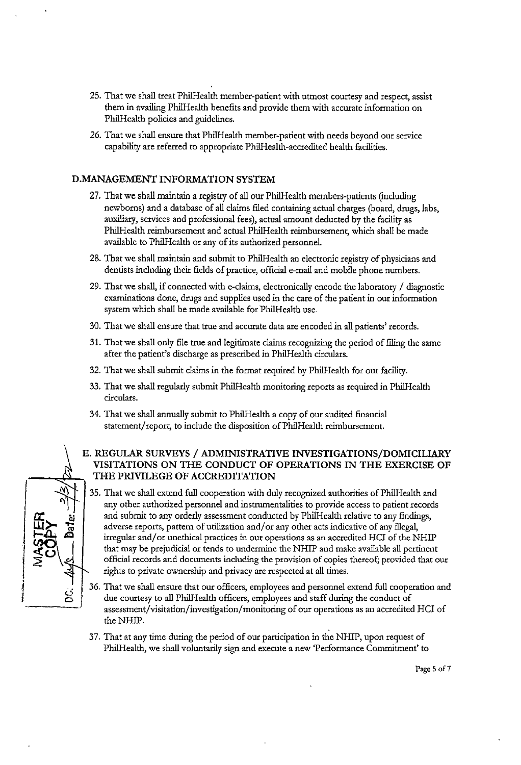- 25. That we shall treat Phi!Health member-patient with utmost courtesy and respect, assist them in availing Phi!Health benefits and provide them with accurate information on Phi!Health policies and guidelines.
- 26. That we shall ensure that Phi!Health member-patient with needs beyond our service capability are referred to appropriate Phi!Health-accredited health facilities.

#### **D.MANAGEMENT INFORMATION SYSTEM**

*a:.* **w** 

**i**  I

- 27. That we shall maintain a registry of all our Phi!Health members-patients (including newborns) and a database of all claims filed containing actual charges (board, drugs, labs, auxiliary, services and professional fees), actual amount deducted by the facility as Phi!Health reimbursement and actual Phi!Health reimbursement, which shall be made available to Phi!Health or any of its authorized personnel.
- 28. That we shall maintain and submit to Phi!Health an electronic registry of physicians and dentists including their fields of practice, official e-mail and mobile phone numbers.
- 29. That we shall, if connected with e-claims, electronically encode the laboratory  $\ell$  diagnostic examinations done, drugs and supplies used in the care of the patient in our information system which shall be made available for Phi!Health use.
- 30. That we shall ensure that true and accurate data are encoded in all patients' records.
- 31. That we shall only file true and legitimate claims recognizing the period of filing the same after the patient's discharge as prescribed in Phi!Health circulars.
- 32. That we shall submit claims in the format required by Phi!Health for our facility.
- 33. That we shall regularly submit Phi!Health monitoring reports as required in Phi!Health circulars.
- 34. That we shall annually submit to Phi!Health a copy of our audited financial statement/report, to include the disposition of PhilHealth reimbursement.

#### **E. REGULAR SURVEYS /ADMINISTRATIVE INVESTIGATIONS/DOMICILIARY VISITATIONS ON THE CONDUCT OF OPERATIONS IN THE EXERCISE OF THE PRIVILEGE OF ACCREDITATION**

- $|\zeta$ 35. That we shall extend full cooperation with duly recognized authorities of Phi!Health and any other authorized personnel and instrumentalities to provide access to patient records and submit to any orderly assessment conducted by Phi!Health relative to any findings, adverse reports, pattern of utilization and/ or any other acts indicative of any illegal, irregular and/or unethical practices in our operations as an accredited HCI of the NHIP that may be prejudicial or tends to undermine the NHIP and make available all pertinent official records and documents including the provision of copies thereof; provided that our rights to private ownership and privacy are respected at all times.
	- 36. That we shall ensure that our officers, employees and personnel extend full cooperation and due courtesy to all PhilHealth officers, employees and staff during the conduct of assessment/visitation/investigation/monitoring of our operations as an accredited HCI of the NHIP.
	- 37. That at any time during the period of our participation in the NHIP, upon request of Phi!Health, we shall voluntarily sign and execute a new 'Performance Commitment' to

Page 5 of 7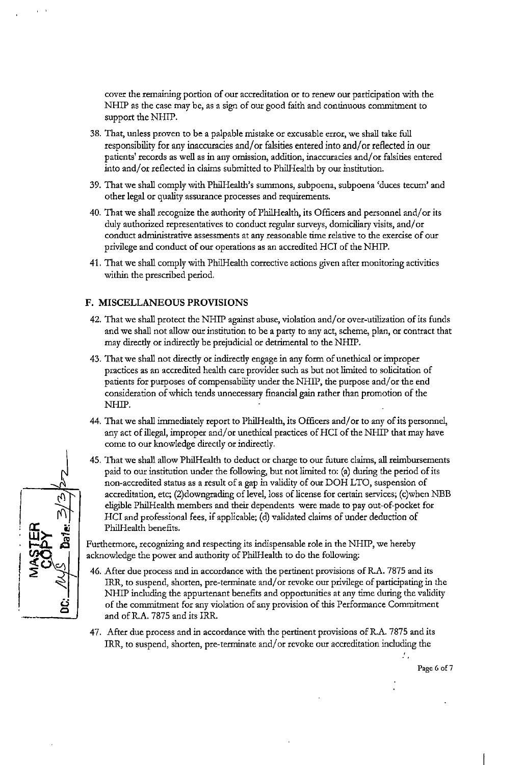cover the remaining portion of our accreditation or to renew our participation with the NHIP as the case may be, as a sign of our good faith and continuous commitment to support the NHIP.

- 38. That, unless proven to be a palpable mistake or excusable error, we shall take full responsibility for any inaccuracies and/ or falsities entered into and/ or reflected in our patients' records as well as in any omission, addition, inaccuracies and/ or falsities entered into and/ or reflected in claims submitted to Phi!Health by our institution.
- 39. That we shall comply with Phi!Health's summons, subpoena, subpoena 'duces tecum' and other legal or quality assurance processes and requirements.
- 40. That we shall recognize the authority of Phi!Health, its Officers and personnel and/ or its duly authorized representatives to conduct regular surveys, domiciliary visits, and/ or conduct administrative assessments at any reasonable time relative to the exercise of our privilege and conduct of our operations as an accredited HCI of the NHIP.
- 41. That we shall comply with Phi!Health corrective actions given after monitoring activities within the prescribed period.

#### **F. MISCELLANEOUS PROVISIONS**

- 42. That we shall protect the NHIP against abuse, violation and/ or over-utilization of its funds and we shall not allow our institution to be a party to any act, scheme, plan, or contract that may direcdy or indirecdy be prejudicial or detrimental to the NHIP.
- 43. That we shall not direcdy or indirecdy engage in any form of unethical or improper practices as an accredited health care provider such as but not limited to solicitation of patients for purposes of compensability under the NHIP, the purpose and/or the end consideration of which tends unnecessary financial gain rather than promotion of the NHIP.
- 44. That we shall immediately report to Phi!Health, its Officers and/ or to any of its personnel, any act of illegal, improper and/ or unethical practices of HCI of the NHIP that may have come to our knowledge direcdy or indirecdy.
- 45. That we shall allow PhilHealth to deduct or charge to our future claims, all reimbursements paid to our institution under the following, but not limited to: (a) during the period of its non-accredited status as a result of a gap in validity of our DOH LTO, suspension of accreditation, etc; (2)downgrading of level, loss of license for certain services; (c)when NBB eligible Phi!Health members and their dependents were made to pay out-of-pocket for HCI and professional fees, if applicable; (d) validated claims of under deduction of Phi!Health benefits.

Furthermore, recognizing and respecting its indispensable role in the NHIP, we hereby acknowledge the power and authority of Phi!Health to do the following:

- 46. After due process and in accordance with the pertinent provisions of R.A. 7875 and its IRR, to suspend, shorten, pre-terminate and/or revoke our privilege of participating in the NHIP including the appurtenant benefits and opportunities at any time during the validity of the commitment for any violation of any provision of this Performance Commitment and ofR.A. 7875 and its IRR.
- 47. After due process and in accordance with the pertinent provisions of R.A. 7875 and its IRR, to suspend, shorten, pre-terminate and/ or revoke our accreditation including the

ź.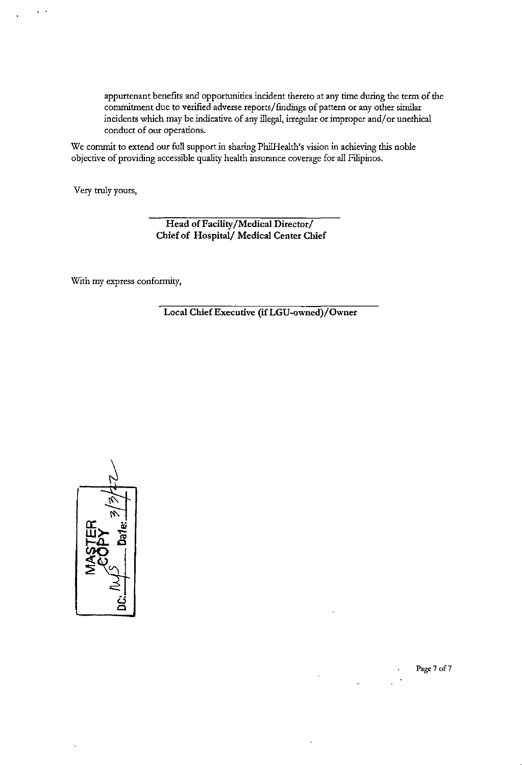appurtenant benefits and opportunities incident thereto at any time during the term of the commitment due to verified adverse reports/ findings of pattern or any other similar incidents which may be indicative of any illegal, irregular or improper and/ or unethical conduct of our operations.

We commit to extend our full support in sharing PhilHealth's vision in achieving this noble objective of providing accessible quality health insurance coverage for all Filipinos.

Very truly yours,

..

**Head of Facility /Medical Director/ Chief of Hospital/ Medical Center Chief** 

With my express conformity,

**Local Chief Executive (ifLGU-owned)/Owner** 



Page 7 of 7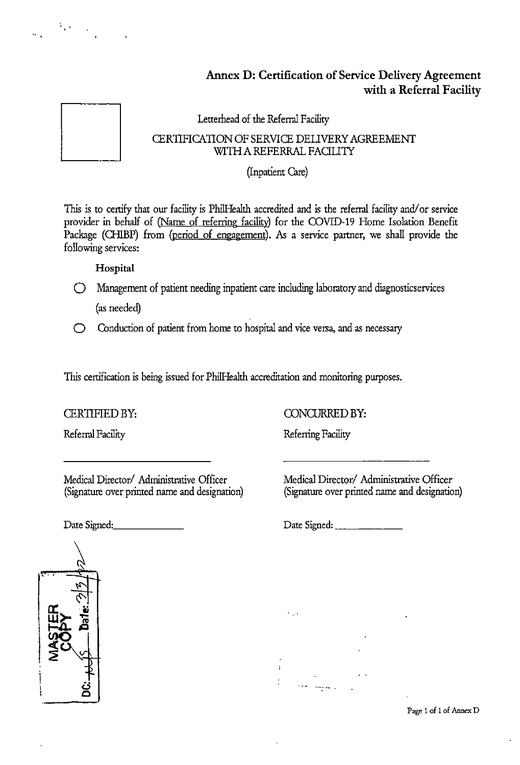## **Annex D: Certification of Service Delivery Agreement with a Referral Facility**



 $\mathbb{E}_{\mathbf{r}}[\mathbf{r}]=\mathbb{E}_{\mathbf{r}}[\mathbf{r}]$ 

## Lettemead of the Referral Facility CERTIFICATION OF SERVICE DEllVERY AGREEMENT WITH A REFERRAL FACILITY

## (Inpatient Care)

This is to certify that our facility is Phi!Health accredited and is the referral facility and/ or service provider in behalf of (Name of referring facility) for the COVID-19 Home Isolation Benefit Package (CHIBP) from (period of engagement). As a service partner, we shall provide the following services:

**Hospital** 

- 0 Management of patient needing inpatient care including laboratoty and diagnosticservices (as needed)
- 0 Conduction of patient from home to hospital and vice versa, and as necessaty

This certification is being issued for Phi!Health accreditation and monitoring purposes.

## CERTIFIED BY:

Referral Facility

Medical Director/ Administrative Officer (Signature over printed name and designation)

Date Signed:. \_\_\_\_\_ \_

CONCURRED BY:

Referring Facility

 $\mathcal{L}_{\mathcal{A}}$ 

 $\overline{1}$ 

Medical Director/ Administrative Officer (Signature over printed name and designation)

Date Signed: \_\_\_\_\_\_\_\_\_\_\_\_\_



Page 1 of 1 of Annex D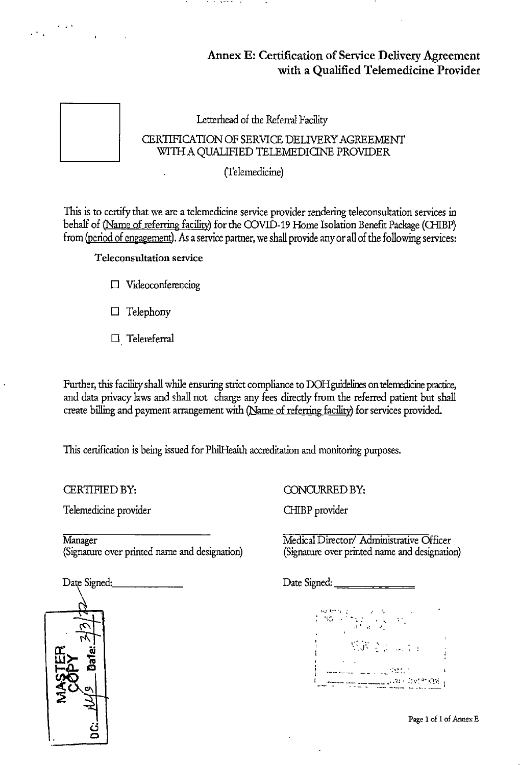## Annex E: Certification of Service Delivery Agreement with a Qualified Telemedicine Provider



...

Letterhead of the Referral Facility

. . . . . .

## CERTIFICATION OF SERVICE DEUVERY AGREEMENT WITH A QUALIFIED TELEMEDICINE PROVIDER

(Telemedicine)

This is to certify that we are a telemedicine service provider rendering teleconsultation services in behalf of (Name of referring facility) for the COVID-19 Home Isolation Benefit Package (CHIBP) from (period of engagement). As a service partner, we shall provide any or all of the following services:

Teleconsultation service

- D Videoconferencing
- D Telephony
- D Telereferral

Further, this facility shall while ensuring strict compliance to DOH guidelines on telemedicine practice, and data privacy laws and shall not charge any fees directly from the referred patient but shall create billing and payment arrangement with (Name of referring facility) for services provided.

This certification is being issued for PhilHealth accreditation and monitoring purposes.

CERTIFIED BY:

Telemedicine provider

Manager (Signature over printed name and designation)

Date Signed: (j  $\epsilon$ 

CONCURRED BY:

CHIBP provider

Medical Director/ Administrative Officer (Signature over printed name and designation)

Date Signed:~=====

 $\frac{1}{2}$ ...  $\frac{1}{2}$ 机调度 2000 年 

Page 1 of 1 of Annex E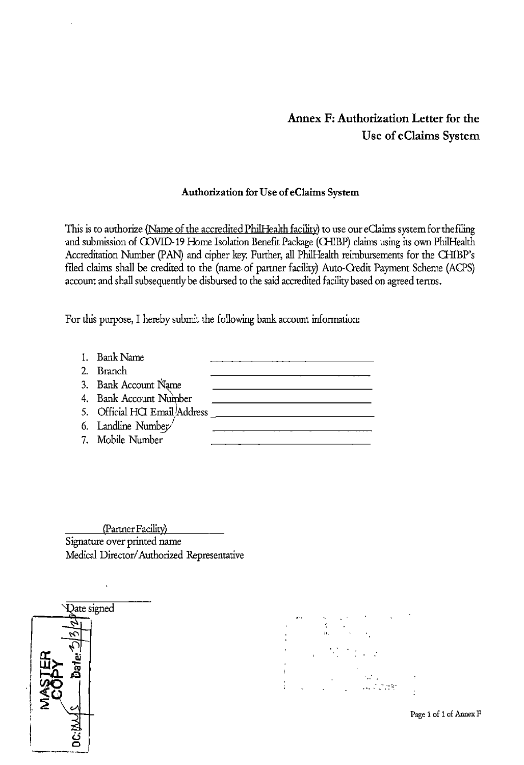## **Annex F: Authorization Letter for the Use of eClaims System**

## **Authorization for** Use **of eC!aims System**

This is to authorize (Name of the accredited PhilHealth facility) to use our eClaims system for the filing and submission of COVID-19 Home Isolation Benefit Package (CHIBP) claims using its own PhilHealth Accreditation Number (PAN) and cipher key. Further, all PhilHealth reimbursements for the CHIBP's filed claims shall be credited to the (name of partner facility) Auto-Credit Payment Scheme (ACPS) account and shall subsequently be disbursed to the said accredited facility based on agreed terms.

For this purpose, I hereby submit the following bank account information:

I. Bank Name 2. Branch 3. Bank Account Name 4. Bank Account Number 5. Official HQ Emaill\ddress 6. Landline Number 7. Mobile Number

(Partner Facility) Signature over printed name Medical Director/ Authorized Representative





Page 1 of 1 of Annex F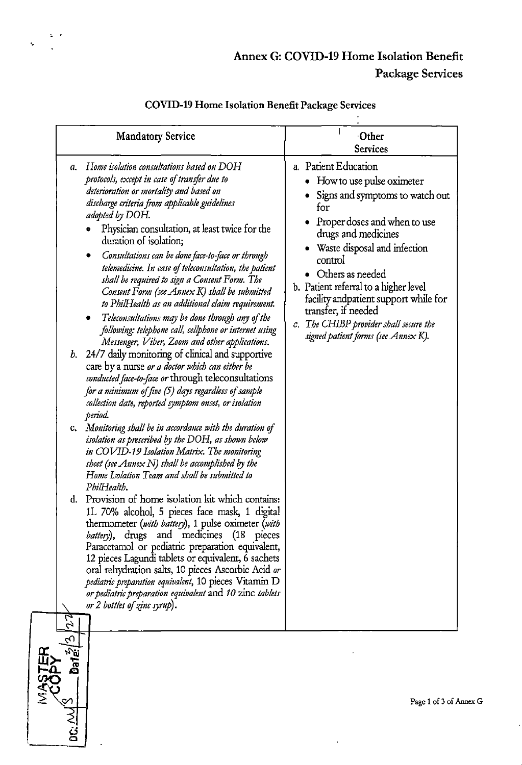## Annex G: COVID-19 Home Isolation Benefit Package Services

|                             | <b>Mandatory Service</b>                                                                                                                                                                                                                                                                                                                                                                                                                                                                                                                                                                                                                                                                                                                                                                                                                                                                                                                                                                                                                                                                                                                                                                                                                                                                                                                                                                                                                                                                                                                                                                                                                                                                                                                                                                                                                     | Other<br><b>Services</b>                                                                                                                                                                                                                                                                                                                                                                                                     |
|-----------------------------|----------------------------------------------------------------------------------------------------------------------------------------------------------------------------------------------------------------------------------------------------------------------------------------------------------------------------------------------------------------------------------------------------------------------------------------------------------------------------------------------------------------------------------------------------------------------------------------------------------------------------------------------------------------------------------------------------------------------------------------------------------------------------------------------------------------------------------------------------------------------------------------------------------------------------------------------------------------------------------------------------------------------------------------------------------------------------------------------------------------------------------------------------------------------------------------------------------------------------------------------------------------------------------------------------------------------------------------------------------------------------------------------------------------------------------------------------------------------------------------------------------------------------------------------------------------------------------------------------------------------------------------------------------------------------------------------------------------------------------------------------------------------------------------------------------------------------------------------|------------------------------------------------------------------------------------------------------------------------------------------------------------------------------------------------------------------------------------------------------------------------------------------------------------------------------------------------------------------------------------------------------------------------------|
| а.<br>b.<br>C.<br>d.<br>2 Z | Home isolation consultations based on DOH<br>protocols, except in case of transfer due to<br>deterioration or mortality and based on<br>discharge criteria from applicable guidelines<br>adopted by DOH.<br>Physician consultation, at least twice for the<br>duration of isolation;<br>Consultations can be done face-to-face or through<br>telemedicine. In case of teleconsultation, the patient<br>shall be required to sign a Consent Form. The<br>Consent Form (see Annex K) shall be submitted<br>to PhilHealth as an additional claim requirement.<br>Teleconsultations may be done through any of the<br>following: telephone call, cellphone or internet using<br>Messenger, Viber, Zoom and other applications.<br>24/7 daily monitoring of clinical and supportive<br>care by a nurse or a doctor which can either be<br>conducted face-to-face or through teleconsultations<br>for a minimum of five (5) days regardless of sample<br>collection date, reported symptom onset, or isolation<br>period.<br>Monitoring shall be in accordance with the duration of<br>isolation as prescribed by the DOH, as shown below<br>in COVID-19 Isolation Matrix. The monitoring<br>sheet (see Annex $N$ ) shall be accomplished by the<br>Home Isolation Team and shall be submitted to<br>PhilHealth,<br>Provision of home isolation kit which contains:<br>1L 70% alcohol, 5 pieces face mask, 1 digital<br>thermometer (with battery), 1 pulse oximeter (with<br><i>battery</i> ), drugs and medicines (18 pieces<br>Paracetamol or pediatric preparation equivalent,<br>12 pieces Lagundi tablets or equivalent, 6 sachets<br>oral rehydration salts, 10 pieces Ascorbic Acid or<br>pediatric preparation equivalent, 10 pieces Vitamin D<br>or pediatric preparation equivalent and 10 zinc tablets<br>or 2 bottles of zinc syrup). | a. Patient Education<br>How to use pulse oximeter<br>Signs and symptoms to watch out<br>for<br>• Proper doses and when to use<br>drugs and medicines<br>Waste disposal and infection<br>control<br>• Others as needed<br>b. Patient referral to a higher level<br>facility and patient support while for<br>transfer, if needed<br>The CHIBP provider shall secure the<br>$c_{\cdot}$<br>signed patient forms (see Annex K). |
| ←                           |                                                                                                                                                                                                                                                                                                                                                                                                                                                                                                                                                                                                                                                                                                                                                                                                                                                                                                                                                                                                                                                                                                                                                                                                                                                                                                                                                                                                                                                                                                                                                                                                                                                                                                                                                                                                                                              |                                                                                                                                                                                                                                                                                                                                                                                                                              |

## COVID-19 Home Isolation Benefit Package Services

 $\overline{z}$ 

<u>ن</u><br>فا

¢,



 $\ddot{\phantom{a}}$ 

 $\bar{\mathbf{r}}$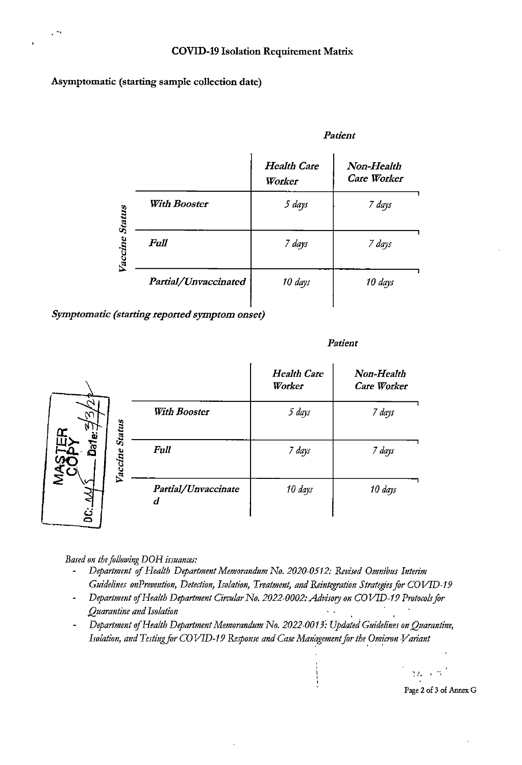**Asymptomatic (starting sample collection date)** 

.,

#### *Patient*

|         |                      | <b>Health Care</b><br>Worker | Non-Health<br><b>Care Worker</b> |
|---------|----------------------|------------------------------|----------------------------------|
| Status  | With Booster         | 5 days                       | 7 days                           |
| Vaccine | Full                 | 7 days                       | 7 days                           |
|         | Partial/Unvaccinated | 10 days                      | 10 days                          |

*Symptomatic (starting reported symptom onset)* 

#### *Patient*

|                     |                          | <b>Health Care</b><br>Worker | Non-Health<br><b>Care Worker</b> |
|---------------------|--------------------------|------------------------------|----------------------------------|
| ٢C<br><b>Status</b> | <b>With Booster</b>      | 5 days                       | 7 days                           |
| Date:<br>raccine    | <b>Full</b>              | 7 days                       | 7 days                           |
| ٺي                  | Partial/Unvaccinate<br>d | 10 days                      | 10 days                          |

*Based on the following DOH issuances:* 

- *Deparlment* of *Health Deparlment Memorandum No. 2020-0512: Revised Omnibus Interim Guidelines onPrevention, Detection, Isolation, Treatment, and Reintegration Strategies for COVID-19*
- *Deparlment* of *Health Deparlment Circular No. 2022-0002: Advisory on* CO *VID-19 Protocols for Quarantine and Isolation*
- *Deparlment* of *Health Deparlment Memorandum No. 2022-0013: Updated Guidelines on Quarantine,*   $\overline{\phantom{a}}$ Isolation, and Testing for COVID-19 Response and Case Management for the Omicron Variant

Page 2 of 3 of Annex G

 $m \sim r^2$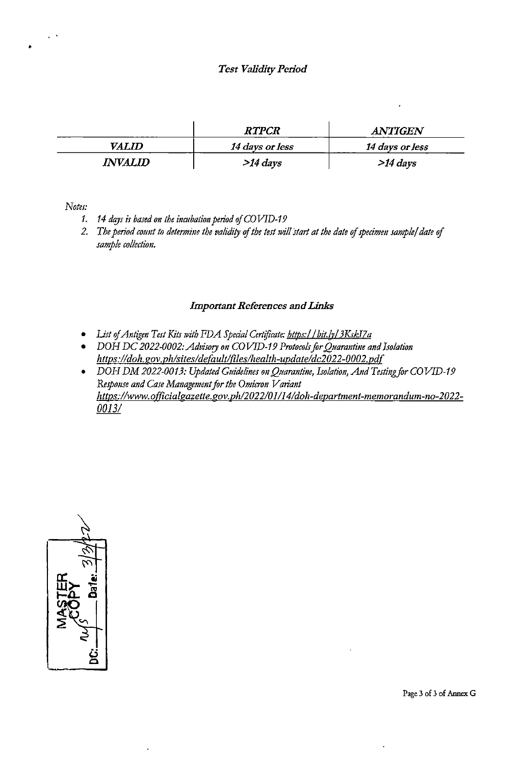#### *Test Validity Period*

|              | <b>RTPCR</b>    | <b>ANTIGEN</b>  |
|--------------|-----------------|-----------------|
| <i>VALID</i> | 14 days or less | 14 days or less |
| INVALID .    | $>14$ days      | $>14$ days      |

*Notes:* 

•

- 1. 14 days is based on the incubation period of COVID-19
- *2. The period cormt to determim the validiry* of *the test will start at the date* of *specimen sample/ date* of *sample collection.*

#### *Important References and Links*

- List of *Antigen Test Kits with FDA Special Certificate: https://bit.ly/3KskI7a*
- *DOH DC 2022-0002: Advisory on COVID-19 Protocols for Quarantine and Isolation https:lldoh.gov.phlsitesldefaultlfileslhealth-updateldc2022-0002.pd(*
- *DOH DM 2022-0013: Updated Guidelines on Quarantine, Isolation, And Testing for COVID-19 Response and Case Management for the Omicron Variant https:/lwww. officialgazette.gov.ph/202210 1114/doh-department-memorandum-no-2022- 0013/*



Page 3 of 3 of Annex G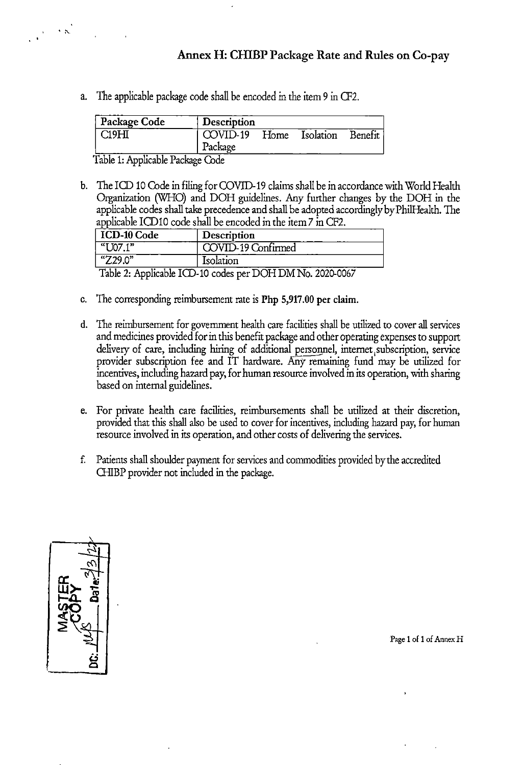## Annex H: CHIBP Package Rate and Rules on Co-pay

a. The applicable package code shall be encoded in the item 9 in CF2.

| Package Code | Description         |      |           |         |
|--------------|---------------------|------|-----------|---------|
| CI9H         | COVID-19<br>Package | Home | Isolation | Benefit |
|              | ÷.                  |      |           |         |

Table 1: Applicable Package Code

 $\cdot$   $\sim$ 

b. The ICD 10 Code in filing for COVID-19 claims shall be in accordance with World Health Organization (WHO) and DOH guidelines. Any further changes by the DOH in the applicable codes shall take precedence and shall be adopted accordingly by Phi!Health. The applicable !COlO code shall be encoded in the item 7 in CF2.

| <b>ICD-10 Code</b> | Description        |
|--------------------|--------------------|
| " $U07.1"$         | COVID-19 Confirmed |
| " $Z29.0"$         | Isolation          |

Table 2: Applicable ICD-10 codes per DOHDMNo. 2020-0067

- c. The corresponding reimbursement rate is Php 5,917.00 per claim.
- d. The reimbursement for government health care facilities shall be utilized to cover all services and medicines provided for in this benefit package and other operating expenses to support delivery of care, including hiring of additional personnel, internet subscription, service provider subscription fee and IT hardware. Afiy remaining fund may be utilized for incentives, including hazard pay, for human resource involved in its operation, with sharing based on internal guidelines.
- e. For private health care facilities, reimbursements shall be utilized at their discretion, provided that this shall also be used to cover for incentives, including hazard pay, for human resource involved in its operation, and other costs of delivering the services.
- f. Patients shall shoulder payment for services and commodities provided by the accredited GIIBP provider not included in the package.



Page I of I of Annex H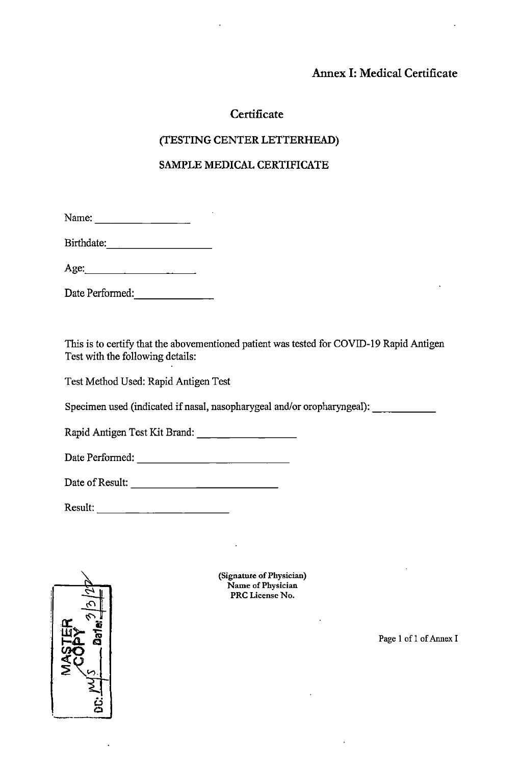## **Annex 1: Medical Certificate**

## **Certificate**

## **(TESTING CENTER LETTERHEAD)**

## **SAMPLE MEDICAL CERTIFICATE**

| Name: |  |  |  |
|-------|--|--|--|

Birthdate: \_\_\_\_\_\_\_ \_

Age:  $\qquad \qquad$ 

Date Performed:

This is to certify that the abovementioned patient was tested for COVID-19 Rapid Antigen Test with the following details:

Test Method Used: Rapid Antigen Test

Specimen used (indicated if nasal, nasopharygeal and/or oropharyngeal): \_\_\_\_ \_

Rapid Antigen Test Kit Brand: \_\_\_\_\_\_\_ \_

Date Perfonned: ------------

Date of Result: \_\_\_\_\_\_\_\_\_\_\_ \_

Result: \_\_\_\_\_\_\_\_\_\_ \_



(Signature of Physician) Name of Physician **PRC** License No.

Page I of I of Annex I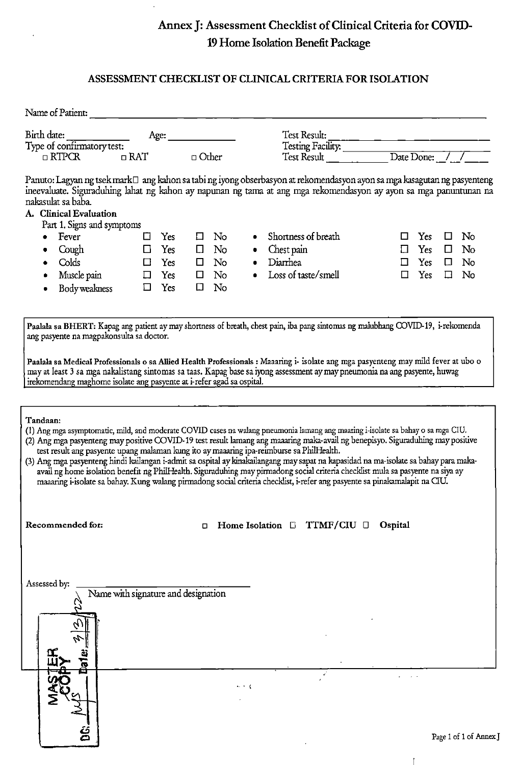## Annex **J:** Assessment Checklist of Clinical Criteria for **COVID-**19 Home Isolation Benefit Package

#### ASSESSMENT CHECKLIST OF CLINICAL CRITERIA FOR ISOLATION

|                                                                                                                                                                                                                                                                                                                                                                                                                                                                                                                           | Name of Patient:                             |            |            |              |    |              |                                                                                                                                                                                                                                                                     |               |     |        |          |  |  |
|---------------------------------------------------------------------------------------------------------------------------------------------------------------------------------------------------------------------------------------------------------------------------------------------------------------------------------------------------------------------------------------------------------------------------------------------------------------------------------------------------------------------------|----------------------------------------------|------------|------------|--------------|----|--------------|---------------------------------------------------------------------------------------------------------------------------------------------------------------------------------------------------------------------------------------------------------------------|---------------|-----|--------|----------|--|--|
| Birth date:                                                                                                                                                                                                                                                                                                                                                                                                                                                                                                               |                                              |            | Age: $\_$  |              |    | Test Result: |                                                                                                                                                                                                                                                                     |               |     |        |          |  |  |
| Type of confirmatory test:                                                                                                                                                                                                                                                                                                                                                                                                                                                                                                |                                              |            |            |              |    |              | Testing Facility:                                                                                                                                                                                                                                                   |               |     |        |          |  |  |
|                                                                                                                                                                                                                                                                                                                                                                                                                                                                                                                           | $\Box$ RTPCR                                 | $\Box$ RAT |            | $\Box$ Other |    |              | Test Result                                                                                                                                                                                                                                                         | Date Done: // |     |        |          |  |  |
|                                                                                                                                                                                                                                                                                                                                                                                                                                                                                                                           | nakasulat sa baba.<br>A. Clinical Evaluation |            |            |              |    |              | Panuto: Lagyan ng tsek mark□ ang kahon sa tabi ng iyong obserbasyon at rekomendasyon ayon sa mga kasagutan ng pasyenteng<br>ineevaluate. Siguraduhing lahat ng kahon ay napunan ng tama at ang mga rekomendasyon ay ayon sa mga panuntunan na                       |               |     |        |          |  |  |
|                                                                                                                                                                                                                                                                                                                                                                                                                                                                                                                           | Part 1. Signs and symptoms                   |            |            |              |    |              | Shortness of breath                                                                                                                                                                                                                                                 |               |     |        |          |  |  |
|                                                                                                                                                                                                                                                                                                                                                                                                                                                                                                                           | Fever                                        | П          | <b>Yes</b> | □            | No |              |                                                                                                                                                                                                                                                                     | П             | Yes | □      | No       |  |  |
|                                                                                                                                                                                                                                                                                                                                                                                                                                                                                                                           | Cough                                        | □          | Yes        | $\Box$       | No | ۰            | Chest pain                                                                                                                                                                                                                                                          | $\Box$        | Yes | $\Box$ | $\rm No$ |  |  |
|                                                                                                                                                                                                                                                                                                                                                                                                                                                                                                                           | Colds                                        | □          | Yes        | □            | No |              | Diarrhea                                                                                                                                                                                                                                                            | $\Box$        | Yes | □      | No       |  |  |
|                                                                                                                                                                                                                                                                                                                                                                                                                                                                                                                           | Muscle pain                                  |            | Yes        | $\Box$       | No |              | Loss of taste/smell                                                                                                                                                                                                                                                 | $\Box$        | Yes | ⊡      | No       |  |  |
|                                                                                                                                                                                                                                                                                                                                                                                                                                                                                                                           | Body weakness                                | 囗          | Yes        | □            | No |              |                                                                                                                                                                                                                                                                     |               |     |        |          |  |  |
| Paalala sa BHERT: Kapag ang patient ay may shortness of breath, chest pain, iba pang sintomas ng malubhang COVID-19, i-rekomenda<br>ang pasyente na magpakonsulta sa doctor.<br>Paalala sa Medical Professionals o sa Allied Health Professionals : Maaaring i- isolate ang mga pasyenteng may mild fever at ubo o<br>may at least 3 sa mga nakalistang sintomas sa taas. Kapag base sa iyong assessment ay may pneumonia na ang pasyente, huwag<br>irekomendang maghome isolate ang pasyente at i-refer agad sa ospital. |                                              |            |            |              |    |              |                                                                                                                                                                                                                                                                     |               |     |        |          |  |  |
| Tandaan:                                                                                                                                                                                                                                                                                                                                                                                                                                                                                                                  |                                              |            |            |              |    |              | (1) Ang mga asymptomatic, mild, and moderate COVID cases na walang pneumonia lamang ang maaring i-isolate sa bahay o sa mga CIU.<br>(2) Ang mga pasyenteng may positive COVID-19 test result lamang ang maaaring maka-avail ng benepisyo. Siguraduhing may positive |               |     |        |          |  |  |

test result ang pasyente upang malaman kung ito ay maaaring ipa-reimburse sa PhilHealth. (3) Ang mga pasyenteng hindi kailangan i-admit sa ospital ay kinakailangang may sapat na kapasidad na rna-isolate sa bahay para makaavail ng home isolation benefit ng PhilHealth. Siguraduhing may pirmadong social criteria checklist mula sa pasyente na siya ay maaaring i-isolate sa bahay. Kung walang pirmadong social criteria checklist, i-refer ang pasyente sa pinakamalapit na CIU.

**Recommended for:** o Home Isolation D TTMF/CIU D Ospital

 $\overline{1}$ 

| Assessed by:        | Name with signature and designation |                          |        |   |           |                      |                        |  |
|---------------------|-------------------------------------|--------------------------|--------|---|-----------|----------------------|------------------------|--|
| N                   |                                     |                          |        | ٠ | $\bullet$ |                      |                        |  |
| <b>Date:</b><br>Σ   |                                     | $\sim$ 1.16<br>$\bullet$ |        |   |           | <b>All Contracts</b> |                        |  |
| $\ddot{\mathbf{g}}$ |                                     |                          | $\sim$ |   |           |                      | Page 1 of 1 of Annex J |  |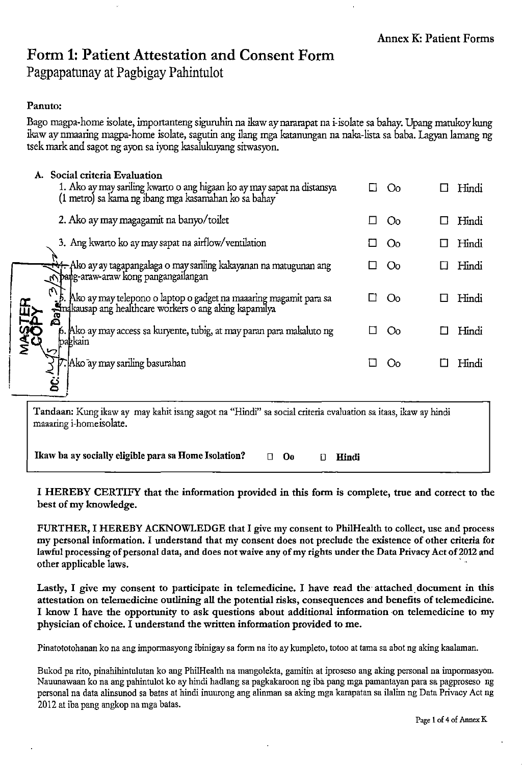# Form 1: Patient Attestation and Consent Form

Pagpapatunay at Pagbigay Pahintulot

## Panuto:

**MASTER** 

Bago magpa-home isolate, importanteng siguruhin na ikaw ay nararapat na i-isolate sa bahay. Upang matukoy kung ikaw ay nmaaring magpa-home isolate, sagutin ang ilang mga katanungan na naka-lista sa baba. Lagyan lamang ng tsek mark and sagot ng ayon sa iyong kasalukuyang sitwasyon.

|    |         | A. Social criteria Evaluation<br>1. Ako ay may sariling kwarto o ang higaan ko ay may sapat na distansya<br>(1 metro) sa kama ng ibang mga kasamahan ko sa bahay | <u> ()ი</u> | Hindi |
|----|---------|------------------------------------------------------------------------------------------------------------------------------------------------------------------|-------------|-------|
|    |         | 2. Ako ay may magagamit na banyo/toilet                                                                                                                          | $\rm{Co}$   | Hindi |
|    |         | 3. Ang kwarto ko ay may sapat na airflow/ventilation                                                                                                             | <u>( )റ</u> | Hindi |
|    |         | <del>= N1.</del> Ako ay ay tagapangalaga o may sariling kakayanan na matugunan ang<br>Npang-araw-araw kong pangangailangan                                       | Oo.         | Hindi |
|    |         | ': 5. Ako ay may telepono o laptop o gadget na maaaring magamit para sa<br>Anakausap ang healthcare workers o ang aking kapamilya                                | Oo.         | Hindi |
|    | pagkain | 6. Ako ay may access sa kuryente, tubig, at may paran para makaluto ng                                                                                           | ഗ           | Hindi |
| نى |         | Ako ay may sariling basurahan;"<br>ΙI                                                                                                                            | ( )റ        | Hindi |

Tandaan: Kung ikaw ay may kahit isang sagot na "Hindi" sa social criteria evaluation sa itaas, ikaw ay hindi maaaring i-homeisolate.

Ikaw ba ay socially eligible para sa Home Isolation?  $\Box$  Oo  $\Box$  Hindi

I HEREBY CERTIFY that the information provided in this form is complete, true and correct to the best of my knowledge.

FURTHER, I HEREBY ACKNOWLEDGE that I give my consent to PhilHealth to collect, use and process my personal information. I understand that my consent does not preclude the existence of other criteria for lawful processing of personal data, and does not waive any of my rights under the Data Privacy Act of 2012 and other applicable laws. ,

Lastly, I give my consent to participate in telemedicine. I have read the attached document in this attestation on telemedicine outlining all the potential risks, consequences and benefits of telemedicine. I know I have the opportunity to ask questions about additional information on telemedicine to my physician of choice. I understand the written information provided to me.

Pinatototohanan ko na ang impormasyong ibinigay sa form na ito ay kumpleto, totoo at tama sa abot ng aking kaalaman.

Bukod pa rito, pinahihintulutan ko ang PhilHealth na mangolekta, gamitin at iproseso ang aking personal na impormasyon. Nauunawaan ko na ang pahintulot ko ay hindi hadlang sa pagkakaroon ng iba pang mga pamantayan para sa pagproseso ng personal na data alinsunod sa batas at hindi inuurong ang alimnan sa akiog ruga karapatan sa ilaliru ng Data Privacy Act ng 2012 at iba pang angkop na mga batas.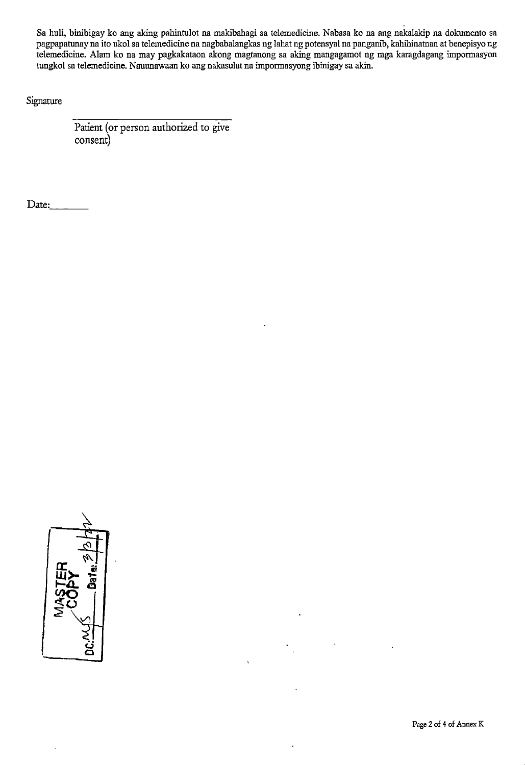Sa huli, binibigay ko ang aking pahintulot na makibahagi sa telemedicine. Nabasa ko na ang nakalakip na dokumento sa pagpapatunay na ito ukol sa telemedicine na nagbabalangkas ng lahat ng potensyal na paugauib, kahihinatnau at benepisyo ng telemedicine. Alam ko na may pagkakataon akong magtanong sa aking maugagamot ng mga karagdagang imponnasyon tungkol sa telemedicine. Nauunawaan ko ang nakasulat na impormasyong ibinigay sa akin.

Signature

Patient (or person authorized to give consent)

Date:

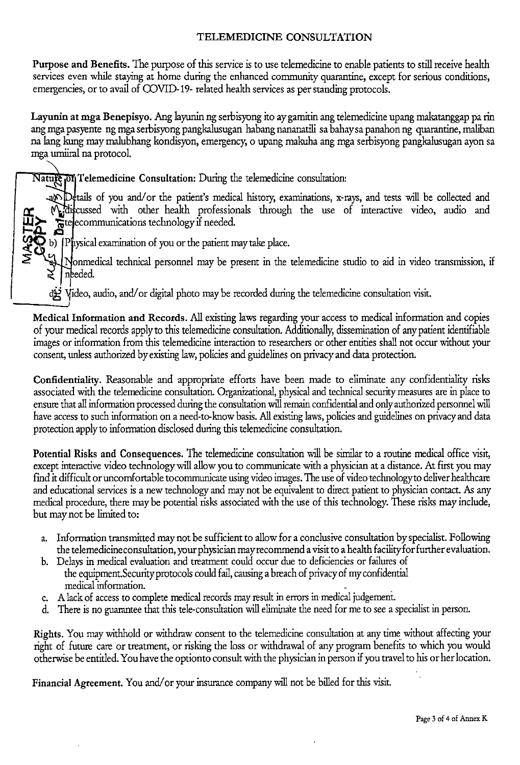## TELEMEDICINE CONSULTATION

Purpose and Benefits. The purpose of this service is to use telemedicine to enable patients to still receive health services even while staying at home during the enhanced community quarantine, except for serious conditions, emergencies, or to avail of COVID-19- related health services as per standing protocols.

Layunin at mga Benepisyo. Ang layunin ng serbisyong ito aygamitin ang telemedicine upang makatanggap pa rin ang mga pasyente ng mga serbisyong pangkalusugan habang nananatili sa bahaysa panahon ng quarantine, maliban na lang kung may malubhang kondisyon, emergency, o upang makuha ang mga serbisyong pangkalusugan ayon sa mga umiirai na protocol.

Nature of Telemedicine Consultation: During the telemedicine consultation:

and Details of you and/or the patient's medical history, examinations, x-rays, and tests will be collected and Miscussed with other health professionals through the use of interactive video, audio and  $\overline{\mathbf{\mu}}$   $\overline{\mathbf{\mu}}$  if needed. 1-A. 9.

b) [Physical examination of you or the patient may take place.

Nonmedical technical personnel may be present in the telemedicine studio to aid in video transmission, if needed.

Video, audio, and/ or digital photo may be recorded during the telemedicine consultation visit.

Medical Information and Records. All existing laws regarding your access to medical information and copies of your medical records apply to this telemedicine consultation. Additionally, dissemination of any patient identifiable images or information from this telemedicine interaction to researchers or other entities shall not occur without your consent, unless authorized by existing law, policies and guidelines on privacy and data protection.

Confidentiality. Reasonable and appropriate efforts have been made to eliminate any confidentiality risks associated with the telemedicine consultation. Organizational, physical and technical security measures are in place to ensure that all infonnation processed during the consultation will remain confidential and only authorized personnel will have access to such infonnation on a need-to-know basis. All existing laws, policies and guidelines on privacy and data protection apply to infonnation disclosed during this telemedicine consultation.

Potential Risks and Consequences. The telemedicine consultation will be similar to a routine medical office visit, except interactive video technology will allow you to communicate with a physician at a distance. At first you may find it difficult or uncomfortable to communicate using video images. The use of video technologyto deliver healthcare and educational services is a new technology and may not be equivalent to direct patient to physician contact. *As* any medical procedure, there may be potential risks associated with the use of this technology. These risks may include, but may not be limited to:

- a. Information transmitted may not be sufficient to allow for a conclusive consultation by specialist. Following the telemedicine consultation, your physician may recommend a visit to a health facility for further evaluation.
- b. Delays in medical evaluation and treatment could occur due to deficiencies or failures of the equipment.Security protocols could fail, causing a breach of privacy of my confidential medical information.
- c. A lack of access to complete medical records may result in errors in medical judgement.
- d. There is no guarantee that this tele-consultation will eliminate the need for me to see a specialist in person.

Rights. You may withhold or withdraw consent to the telemedicine consultation at any time without affecting your right of future care or treatment, or risking the loss or withdrawal of any program benefits to which you would otherwise be entitled. You have the optionto consult with the physician in person if you travel to his or her location.

Financial Agreement. You and/or your insurance company will not be billed for this visit.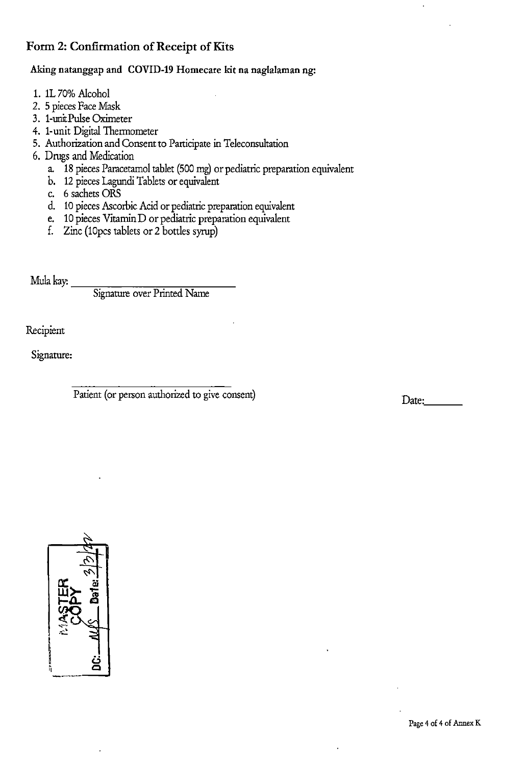## Form 2: Confirmation of Receipt of Kits

## Aking natanggap and COVID-19 Homecare kit na naglalaman ng:

- 1. 1L 70% Alcohol
- 2. 5 pieces Face Mask
- 3. 1-uoitPulse Oximeter
- 4. 1-unit Digital Thermometer
- 5. Authorization and Consent to Participate in Teleconsultation
- 6. Drugs and Medication
	- a. 18 pieces Paracetamol tablet (500 mg) or pediatric preparation equivalent
	- b. 12 pieces Lagundi Tablets or equivalent
	- c. 6 sachets ORS
	- d. 10 pieces Ascorbic Acid or pediatric preparation equivalent
	- e. 10 pieces Vitamin D or pediatric preparation equivalent
	- f. Zinc (lOpes tablets or 2 bottles syrup)

Mula kay:  $\frac{Signature over Printed Name}$ 

Recipient

Signature:

Patient (or person authorized to give consent)

Date:



Page 4 of 4 of Annex K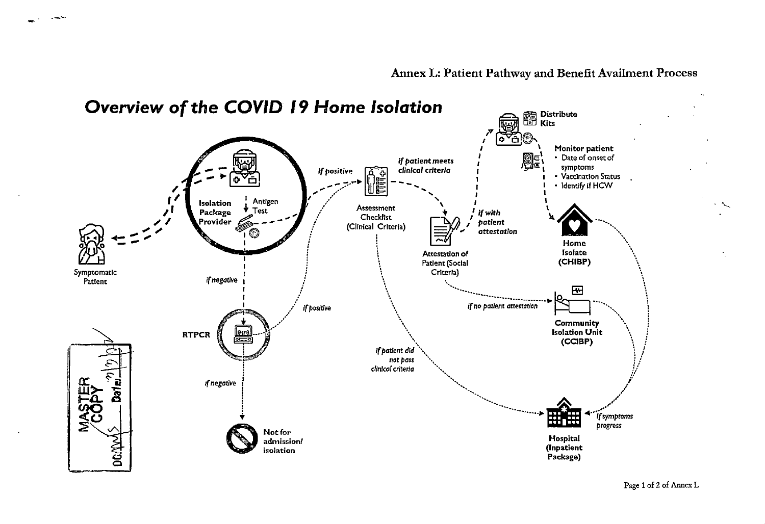

.----

Page 1 of 2 of Annex L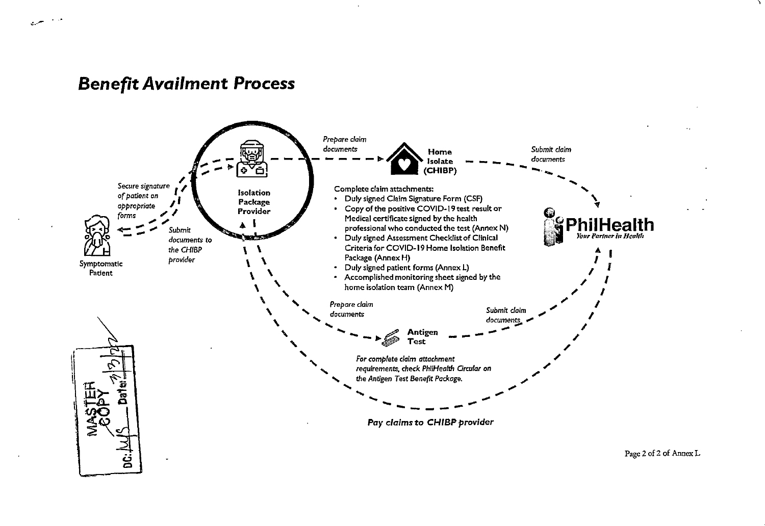## *Benefit Availment* **Process**



*.:..--*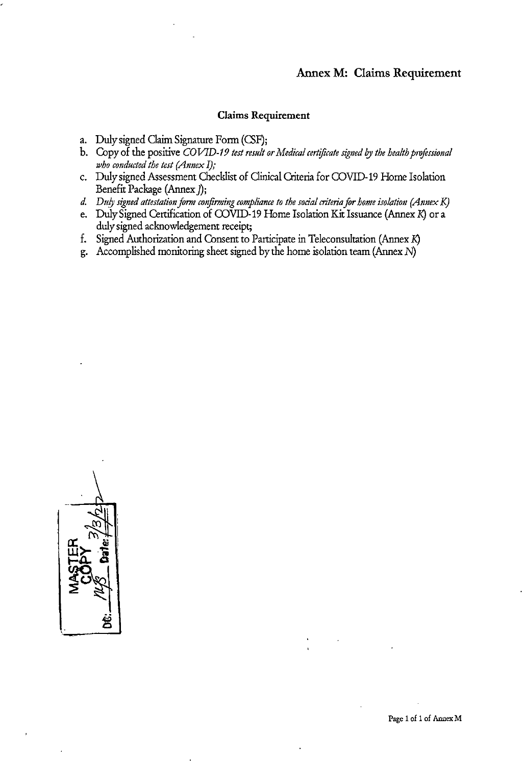#### **Annex M: Claims Requirement**

#### **Claims Requirement**

- a. Duly signed Claim Signature Form (CSF);
- b. Copy of the positive *COVID-19 test result or Medical certificate signed by the health professional who conducted the test (Annex I);*
- c. Duly signed Assessment Checklist of Oinical Criteria for COVID-19 Home Isolation Benefit Package (Annex );
- *d.* Duly signed attestation form confirming compliance to the social criteria for home isolation (Annex K)
- e. Duly Signed Certification of COVID-19 Home Isolation Kit Issuance (Annex *K)* or a duly signed acknowledgement receipt;
- f. Signed Authorization and Consent to Participate in Teleconsultation (Annex *K)*
- g. Accomplished monitoring sheet signed by the home isolation team (Annex  $N$ )

ღ **a::** N\ Iii **w>- ·"i** .  $\frac{1}{2}$ 

Page 1 of 1 of Annex M